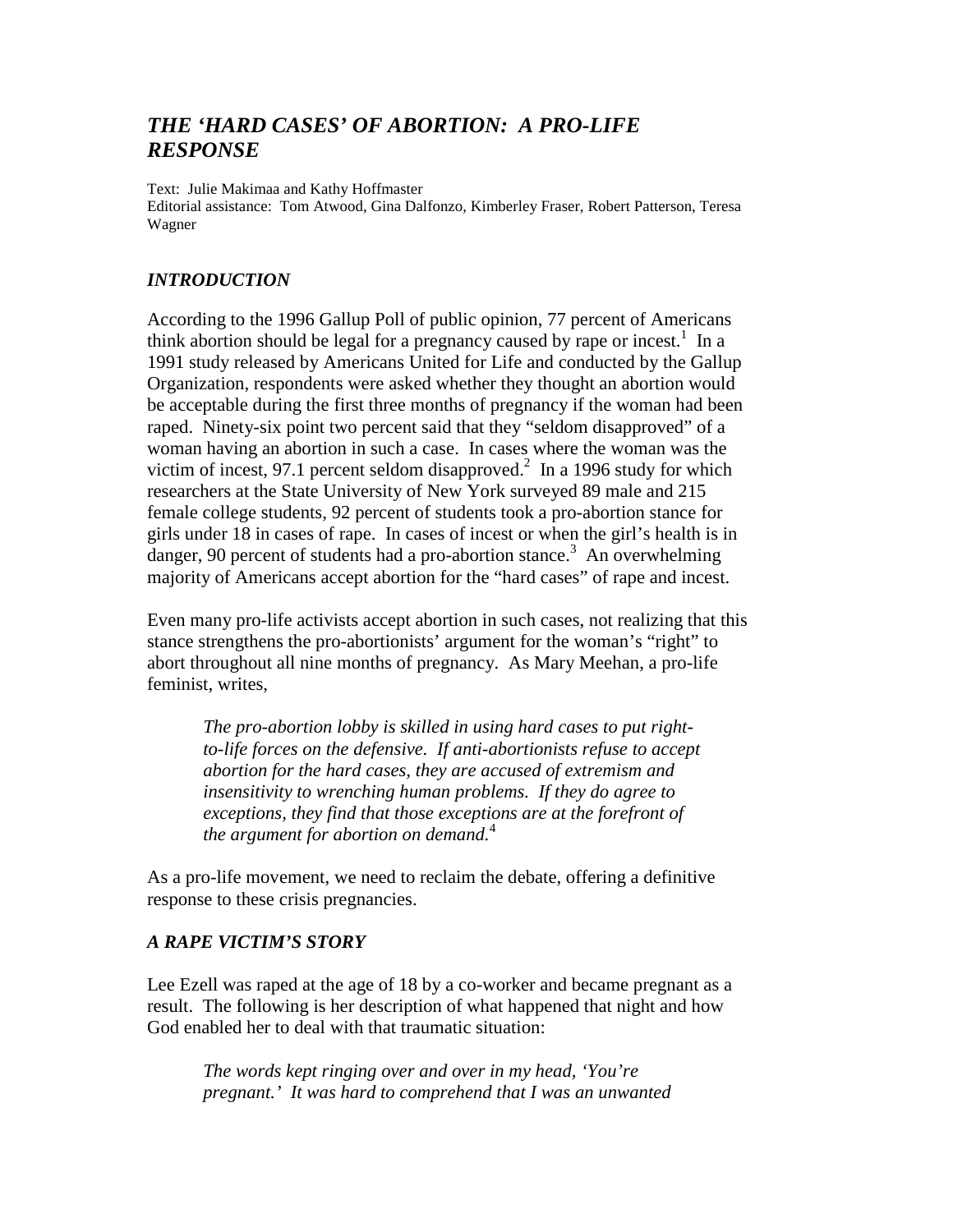# *THE 'HARD CASES' OF ABORTION: A PRO-LIFE RESPONSE*

Text: Julie Makimaa and Kathy Hoffmaster Editorial assistance: Tom Atwood, Gina Dalfonzo, Kimberley Fraser, Robert Patterson, Teresa Wagner

### *INTRODUCTION*

According to the 1996 Gallup Poll of public opinion, 77 percent of Americans think abortion should be legal for a pregnancy caused by rape or incest.<sup>1</sup> In a 1991 study released by Americans United for Life and conducted by the Gallup Organization, respondents were asked whether they thought an abortion would be acceptable during the first three months of pregnancy if the woman had been raped. Ninety-six point two percent said that they "seldom disapproved" of a woman having an abortion in such a case. In cases where the woman was the victim of incest, 97.1 percent seldom disapproved.<sup>2</sup> In a 1996 study for which researchers at the State University of New York surveyed 89 male and 215 female college students, 92 percent of students took a pro-abortion stance for girls under 18 in cases of rape. In cases of incest or when the girl's health is in danger, 90 percent of students had a pro-abortion stance.<sup>3</sup> An overwhelming majority of Americans accept abortion for the "hard cases" of rape and incest.

Even many pro-life activists accept abortion in such cases, not realizing that this stance strengthens the pro-abortionists' argument for the woman's "right" to abort throughout all nine months of pregnancy. As Mary Meehan, a pro-life feminist, writes,

*The pro-abortion lobby is skilled in using hard cases to put rightto-life forces on the defensive. If anti-abortionists refuse to accept abortion for the hard cases, they are accused of extremism and insensitivity to wrenching human problems. If they do agree to exceptions, they find that those exceptions are at the forefront of the argument for abortion on demand.*<sup>4</sup>

As a pro-life movement, we need to reclaim the debate, offering a definitive response to these crisis pregnancies.

## *A RAPE VICTIM'S STORY*

Lee Ezell was raped at the age of 18 by a co-worker and became pregnant as a result. The following is her description of what happened that night and how God enabled her to deal with that traumatic situation:

*The words kept ringing over and over in my head, 'You're pregnant.' It was hard to comprehend that I was an unwanted*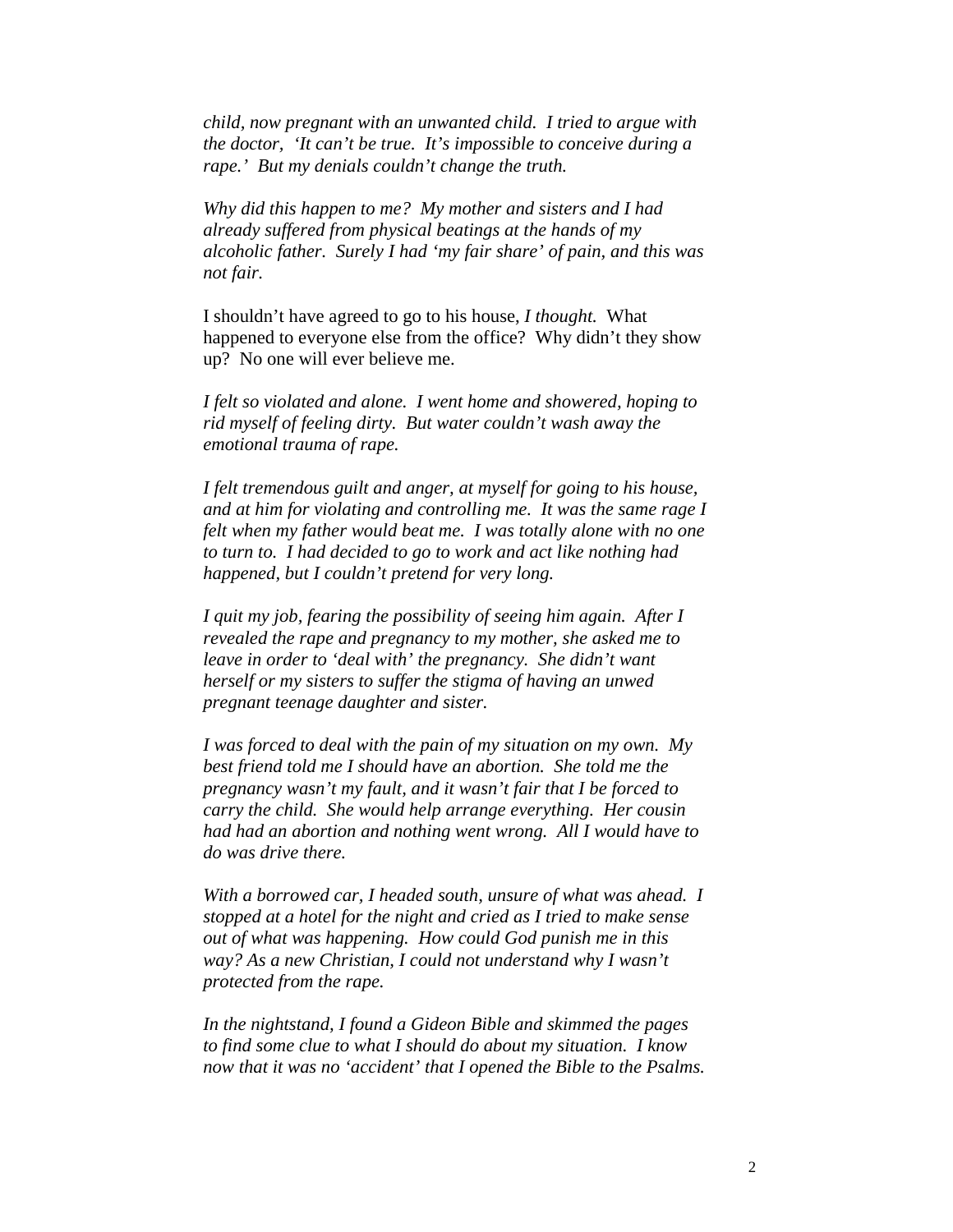*child, now pregnant with an unwanted child. I tried to argue with the doctor, 'It can't be true. It's impossible to conceive during a rape.' But my denials couldn't change the truth.* 

*Why did this happen to me? My mother and sisters and I had already suffered from physical beatings at the hands of my alcoholic father. Surely I had 'my fair share' of pain, and this was not fair.* 

I shouldn't have agreed to go to his house, *I thought.* What happened to everyone else from the office? Why didn't they show up? No one will ever believe me.

*I felt so violated and alone. I went home and showered, hoping to rid myself of feeling dirty. But water couldn't wash away the emotional trauma of rape.* 

*I felt tremendous guilt and anger, at myself for going to his house, and at him for violating and controlling me. It was the same rage I felt when my father would beat me. I was totally alone with no one to turn to. I had decided to go to work and act like nothing had happened, but I couldn't pretend for very long.* 

*I quit my job, fearing the possibility of seeing him again. After I revealed the rape and pregnancy to my mother, she asked me to leave in order to 'deal with' the pregnancy. She didn't want herself or my sisters to suffer the stigma of having an unwed pregnant teenage daughter and sister.* 

*I was forced to deal with the pain of my situation on my own. My best friend told me I should have an abortion. She told me the pregnancy wasn't my fault, and it wasn't fair that I be forced to carry the child. She would help arrange everything. Her cousin had had an abortion and nothing went wrong. All I would have to do was drive there.* 

*With a borrowed car, I headed south, unsure of what was ahead. I stopped at a hotel for the night and cried as I tried to make sense out of what was happening. How could God punish me in this way? As a new Christian, I could not understand why I wasn't protected from the rape.* 

*In the nightstand, I found a Gideon Bible and skimmed the pages to find some clue to what I should do about my situation. I know now that it was no 'accident' that I opened the Bible to the Psalms.*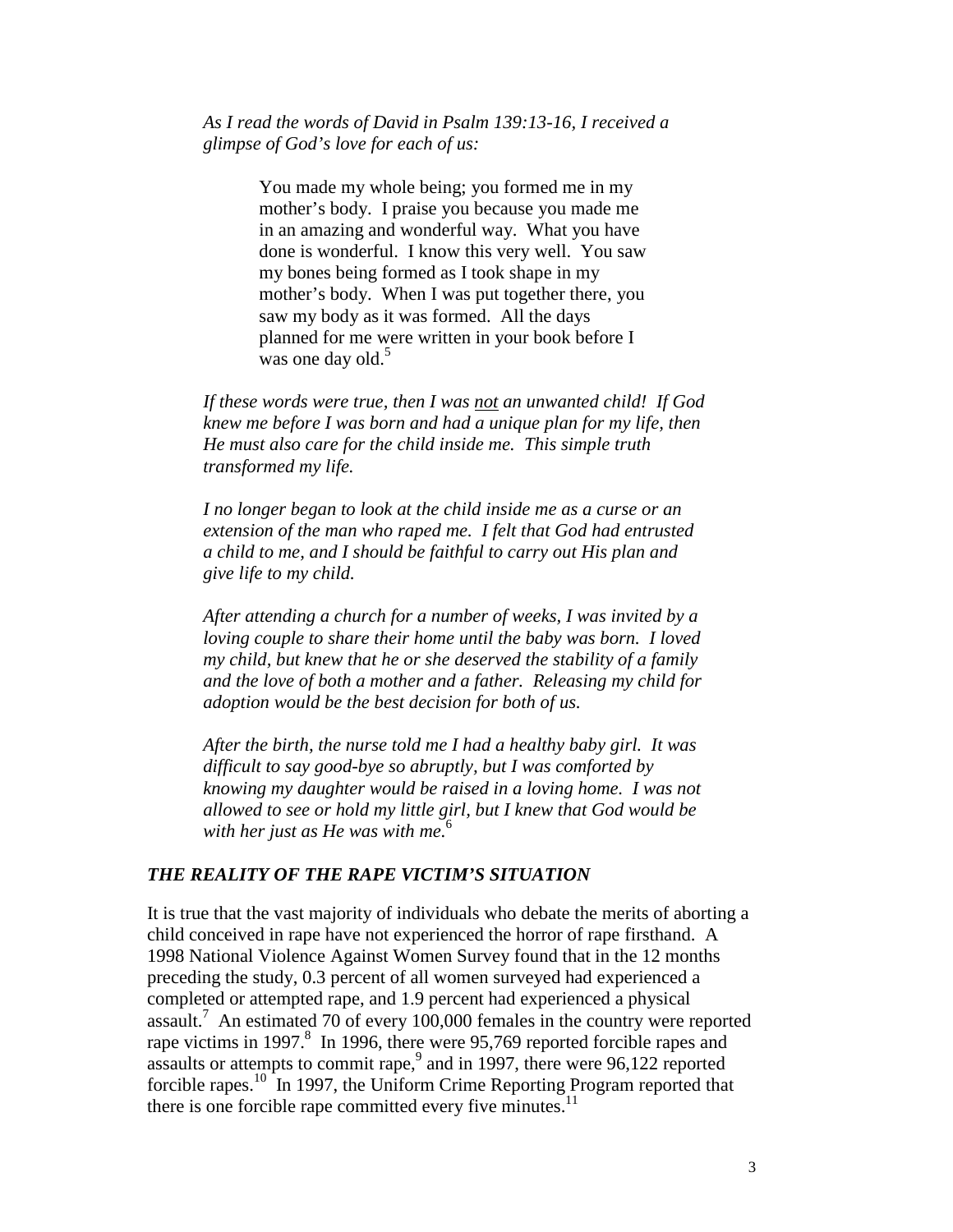*As I read the words of David in Psalm 139:13-16, I received a glimpse of God's love for each of us:* 

> You made my whole being; you formed me in my mother's body. I praise you because you made me in an amazing and wonderful way. What you have done is wonderful. I know this very well. You saw my bones being formed as I took shape in my mother's body. When I was put together there, you saw my body as it was formed. All the days planned for me were written in your book before I was one day old.<sup>5</sup>

*If these words were true, then I was not an unwanted child! If God knew me before I was born and had a unique plan for my life, then He must also care for the child inside me. This simple truth transformed my life.* 

*I no longer began to look at the child inside me as a curse or an extension of the man who raped me. I felt that God had entrusted a child to me, and I should be faithful to carry out His plan and give life to my child.* 

*After attending a church for a number of weeks, I was invited by a loving couple to share their home until the baby was born. I loved my child, but knew that he or she deserved the stability of a family and the love of both a mother and a father. Releasing my child for adoption would be the best decision for both of us.* 

*After the birth, the nurse told me I had a healthy baby girl. It was difficult to say good-bye so abruptly, but I was comforted by knowing my daughter would be raised in a loving home. I was not allowed to see or hold my little girl, but I knew that God would be with her just as He was with me.*<sup>6</sup>

### *THE REALITY OF THE RAPE VICTIM'S SITUATION*

It is true that the vast majority of individuals who debate the merits of aborting a child conceived in rape have not experienced the horror of rape firsthand. A 1998 National Violence Against Women Survey found that in the 12 months preceding the study, 0.3 percent of all women surveyed had experienced a completed or attempted rape, and 1.9 percent had experienced a physical assault.7 An estimated 70 of every 100,000 females in the country were reported rape victims in 1997.<sup>8</sup> In 1996, there were 95,769 reported forcible rapes and assaults or attempts to commit rape,  $9$  and in 1997, there were 96,122 reported forcible rapes.<sup>10</sup> In 1997, the Uniform Crime Reporting Program reported that there is one forcible rape committed every five minutes.<sup>11</sup>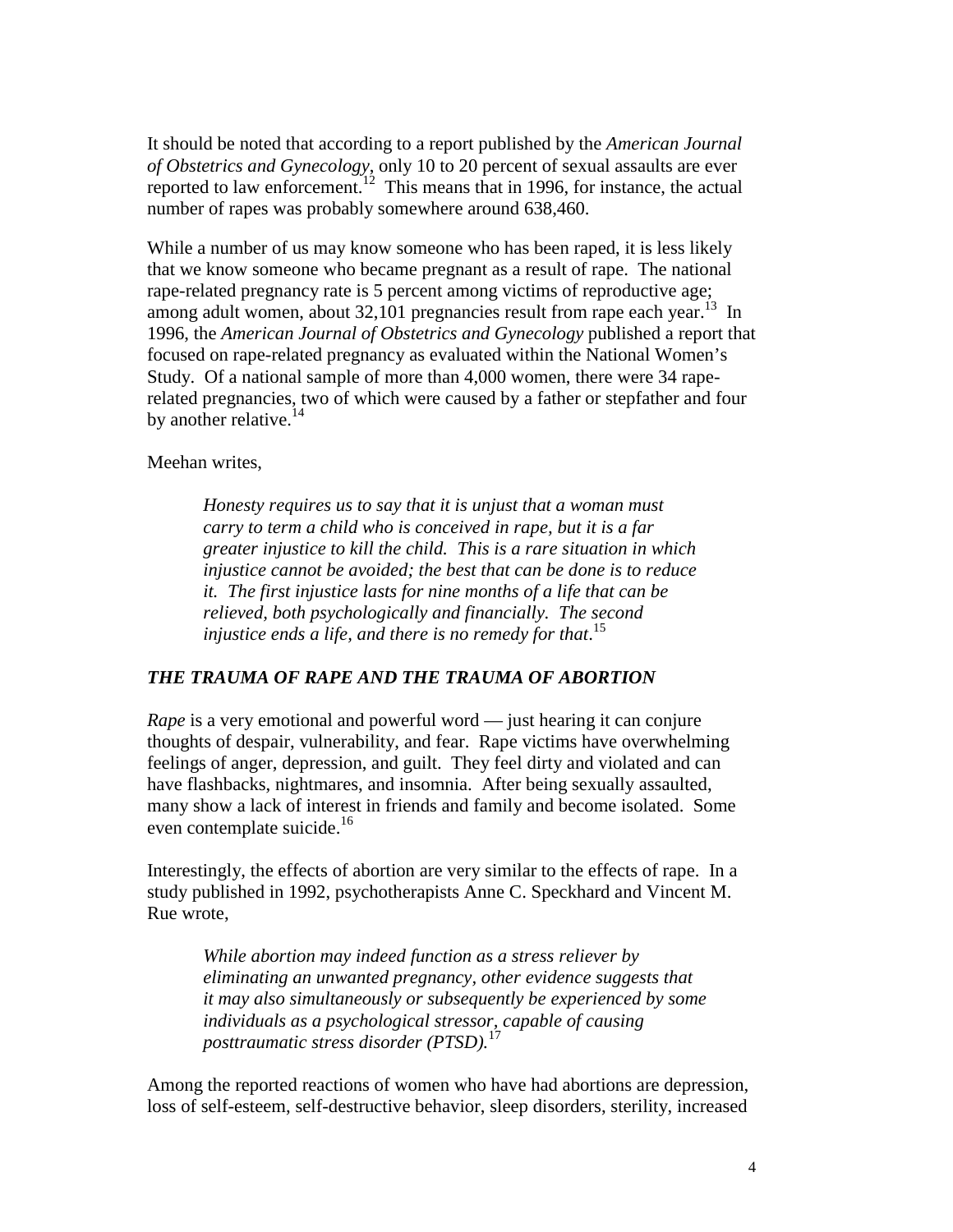It should be noted that according to a report published by the *American Journal of Obstetrics and Gynecology*, only 10 to 20 percent of sexual assaults are ever reported to law enforcement.12 This means that in 1996, for instance, the actual number of rapes was probably somewhere around 638,460.

While a number of us may know someone who has been raped, it is less likely that we know someone who became pregnant as a result of rape. The national rape-related pregnancy rate is 5 percent among victims of reproductive age; among adult women, about 32,101 pregnancies result from rape each year.<sup>13</sup> In 1996, the *American Journal of Obstetrics and Gynecology* published a report that focused on rape-related pregnancy as evaluated within the National Women's Study. Of a national sample of more than 4,000 women, there were 34 raperelated pregnancies, two of which were caused by a father or stepfather and four by another relative. $^{14}$ 

Meehan writes,

*Honesty requires us to say that it is unjust that a woman must carry to term a child who is conceived in rape, but it is a far greater injustice to kill the child. This is a rare situation in which injustice cannot be avoided; the best that can be done is to reduce it. The first injustice lasts for nine months of a life that can be relieved, both psychologically and financially. The second injustice ends a life, and there is no remedy for that*. 15

## *THE TRAUMA OF RAPE AND THE TRAUMA OF ABORTION*

*Rape* is a very emotional and powerful word — just hearing it can conjure thoughts of despair, vulnerability, and fear. Rape victims have overwhelming feelings of anger, depression, and guilt. They feel dirty and violated and can have flashbacks, nightmares, and insomnia. After being sexually assaulted, many show a lack of interest in friends and family and become isolated. Some even contemplate suicide.<sup>16</sup>

Interestingly, the effects of abortion are very similar to the effects of rape. In a study published in 1992, psychotherapists Anne C. Speckhard and Vincent M. Rue wrote,

*While abortion may indeed function as a stress reliever by eliminating an unwanted pregnancy, other evidence suggests that it may also simultaneously or subsequently be experienced by some individuals as a psychological stressor, capable of causing posttraumatic stress disorder (PTSD).*<sup>17</sup>

Among the reported reactions of women who have had abortions are depression, loss of self-esteem, self-destructive behavior, sleep disorders, sterility, increased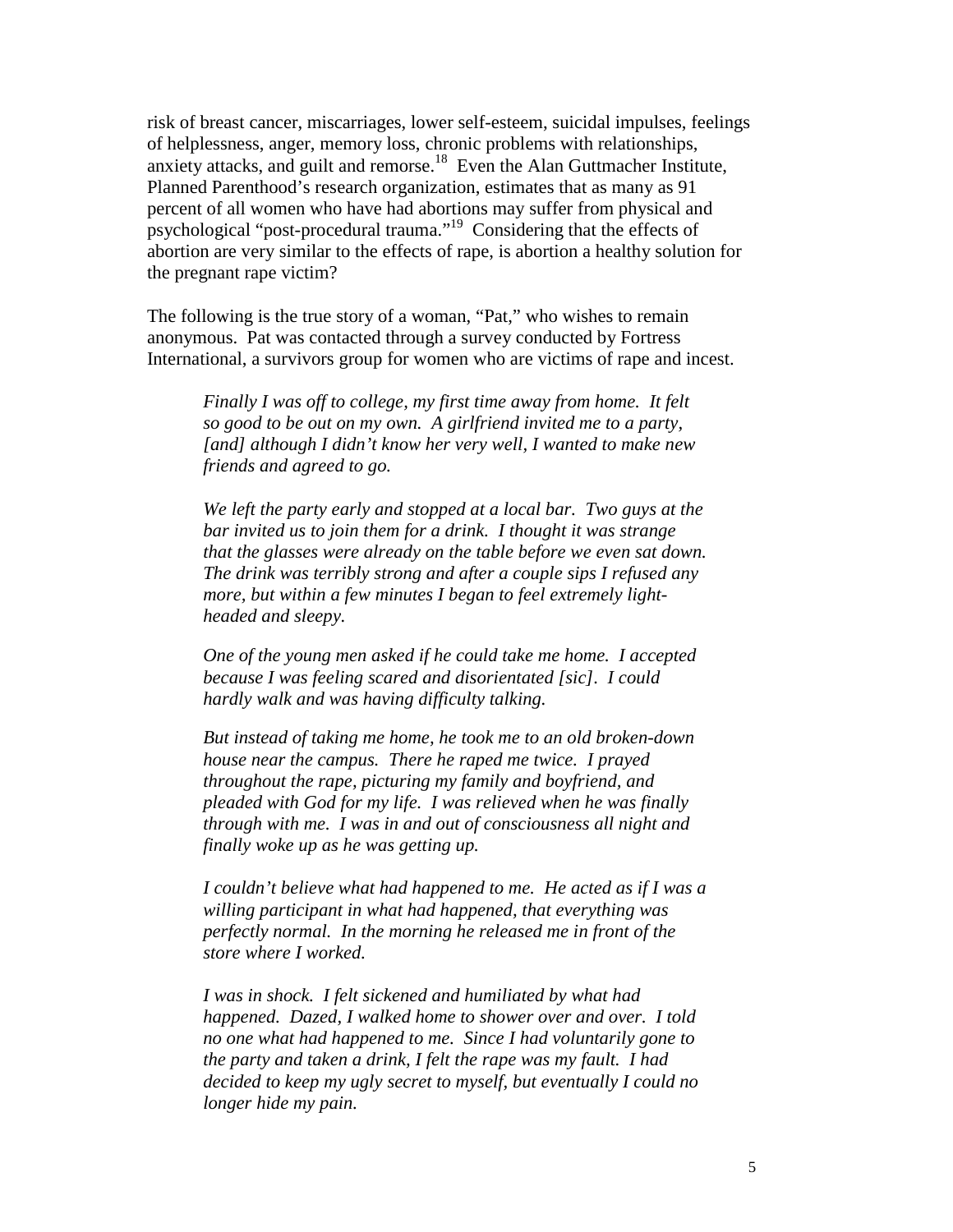risk of breast cancer, miscarriages, lower self-esteem, suicidal impulses, feelings of helplessness, anger, memory loss, chronic problems with relationships, anxiety attacks, and guilt and remorse.18 Even the Alan Guttmacher Institute, Planned Parenthood's research organization, estimates that as many as 91 percent of all women who have had abortions may suffer from physical and psychological "post-procedural trauma."19 Considering that the effects of abortion are very similar to the effects of rape, is abortion a healthy solution for the pregnant rape victim?

The following is the true story of a woman, "Pat," who wishes to remain anonymous. Pat was contacted through a survey conducted by Fortress International, a survivors group for women who are victims of rape and incest.

*Finally I was off to college, my first time away from home. It felt so good to be out on my own. A girlfriend invited me to a party, [and] although I didn't know her very well, I wanted to make new friends and agreed to go.* 

*We left the party early and stopped at a local bar. Two guys at the bar invited us to join them for a drink. I thought it was strange that the glasses were already on the table before we even sat down. The drink was terribly strong and after a couple sips I refused any more, but within a few minutes I began to feel extremely lightheaded and sleepy.* 

*One of the young men asked if he could take me home. I accepted because I was feeling scared and disorientated [sic]. I could hardly walk and was having difficulty talking.* 

*But instead of taking me home, he took me to an old broken-down house near the campus. There he raped me twice. I prayed throughout the rape, picturing my family and boyfriend, and pleaded with God for my life. I was relieved when he was finally through with me. I was in and out of consciousness all night and finally woke up as he was getting up.* 

*I couldn't believe what had happened to me. He acted as if I was a willing participant in what had happened, that everything was perfectly normal. In the morning he released me in front of the store where I worked.* 

*I was in shock. I felt sickened and humiliated by what had happened. Dazed, I walked home to shower over and over. I told no one what had happened to me. Since I had voluntarily gone to the party and taken a drink, I felt the rape was my fault. I had decided to keep my ugly secret to myself, but eventually I could no longer hide my pain.*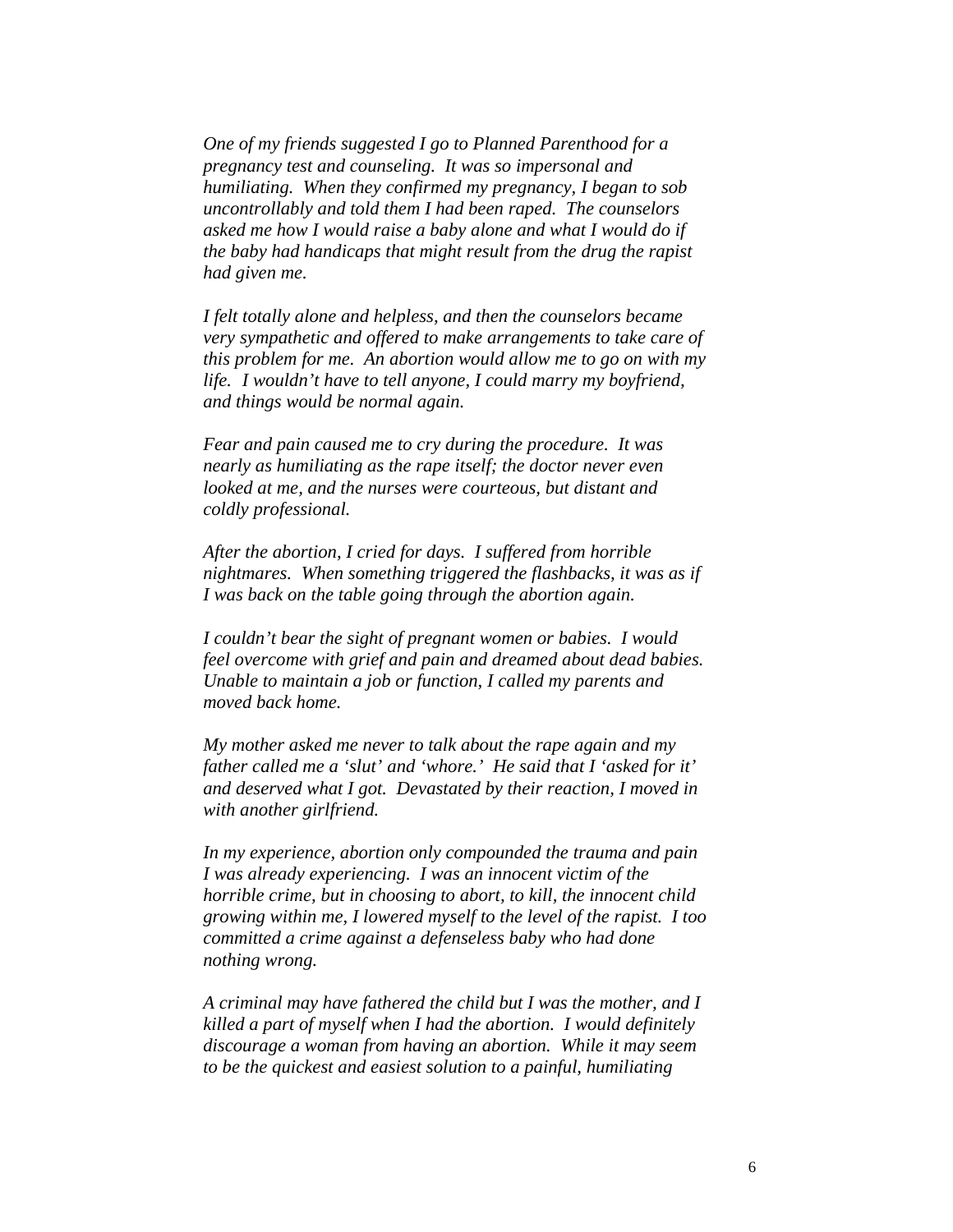*One of my friends suggested I go to Planned Parenthood for a pregnancy test and counseling. It was so impersonal and humiliating. When they confirmed my pregnancy, I began to sob uncontrollably and told them I had been raped. The counselors asked me how I would raise a baby alone and what I would do if the baby had handicaps that might result from the drug the rapist had given me.* 

*I felt totally alone and helpless, and then the counselors became very sympathetic and offered to make arrangements to take care of this problem for me. An abortion would allow me to go on with my life. I wouldn't have to tell anyone, I could marry my boyfriend, and things would be normal again.* 

*Fear and pain caused me to cry during the procedure. It was nearly as humiliating as the rape itself; the doctor never even looked at me, and the nurses were courteous, but distant and coldly professional.* 

*After the abortion, I cried for days. I suffered from horrible nightmares. When something triggered the flashbacks, it was as if I was back on the table going through the abortion again.* 

*I couldn't bear the sight of pregnant women or babies. I would feel overcome with grief and pain and dreamed about dead babies. Unable to maintain a job or function, I called my parents and moved back home.* 

*My mother asked me never to talk about the rape again and my father called me a 'slut' and 'whore.' He said that I 'asked for it' and deserved what I got. Devastated by their reaction, I moved in with another girlfriend.* 

*In my experience, abortion only compounded the trauma and pain I was already experiencing. I was an innocent victim of the horrible crime, but in choosing to abort, to kill, the innocent child growing within me, I lowered myself to the level of the rapist. I too committed a crime against a defenseless baby who had done nothing wrong.* 

*A criminal may have fathered the child but I was the mother, and I killed a part of myself when I had the abortion. I would definitely discourage a woman from having an abortion. While it may seem to be the quickest and easiest solution to a painful, humiliating*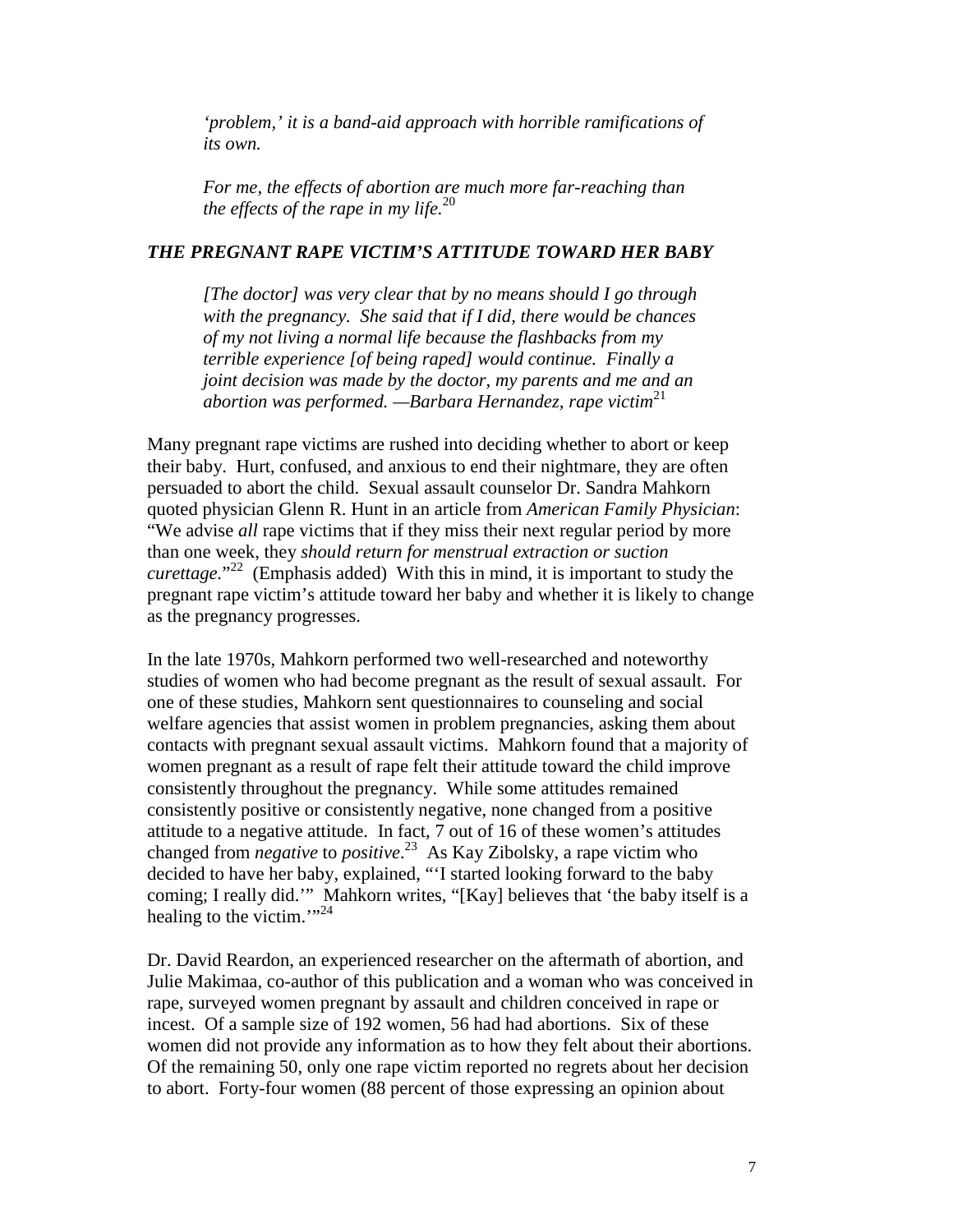*'problem,' it is a band-aid approach with horrible ramifications of its own.* 

*For me, the effects of abortion are much more far-reaching than the effects of the rape in my life.*<sup>20</sup>

### *THE PREGNANT RAPE VICTIM'S ATTITUDE TOWARD HER BABY*

*[The doctor] was very clear that by no means should I go through with the pregnancy. She said that if I did, there would be chances of my not living a normal life because the flashbacks from my terrible experience [of being raped] would continue. Finally a joint decision was made by the doctor, my parents and me and an abortion was performed. —Barbara Hernandez, rape victim*<sup>21</sup>

Many pregnant rape victims are rushed into deciding whether to abort or keep their baby. Hurt, confused, and anxious to end their nightmare, they are often persuaded to abort the child. Sexual assault counselor Dr. Sandra Mahkorn quoted physician Glenn R. Hunt in an article from *American Family Physician*: "We advise *all* rape victims that if they miss their next regular period by more than one week, they *should return for menstrual extraction or suction curettage.*" 22 (Emphasis added) With this in mind, it is important to study the pregnant rape victim's attitude toward her baby and whether it is likely to change as the pregnancy progresses.

In the late 1970s, Mahkorn performed two well-researched and noteworthy studies of women who had become pregnant as the result of sexual assault. For one of these studies, Mahkorn sent questionnaires to counseling and social welfare agencies that assist women in problem pregnancies, asking them about contacts with pregnant sexual assault victims. Mahkorn found that a majority of women pregnant as a result of rape felt their attitude toward the child improve consistently throughout the pregnancy. While some attitudes remained consistently positive or consistently negative, none changed from a positive attitude to a negative attitude. In fact, 7 out of 16 of these women's attitudes changed from *negative* to *positive*. 23 As Kay Zibolsky, a rape victim who decided to have her baby, explained, "'I started looking forward to the baby coming; I really did.'" Mahkorn writes, "[Kay] believes that 'the baby itself is a healing to the victim."<sup>24</sup>

Dr. David Reardon, an experienced researcher on the aftermath of abortion, and Julie Makimaa, co-author of this publication and a woman who was conceived in rape, surveyed women pregnant by assault and children conceived in rape or incest. Of a sample size of 192 women, 56 had had abortions. Six of these women did not provide any information as to how they felt about their abortions. Of the remaining 50, only one rape victim reported no regrets about her decision to abort. Forty-four women (88 percent of those expressing an opinion about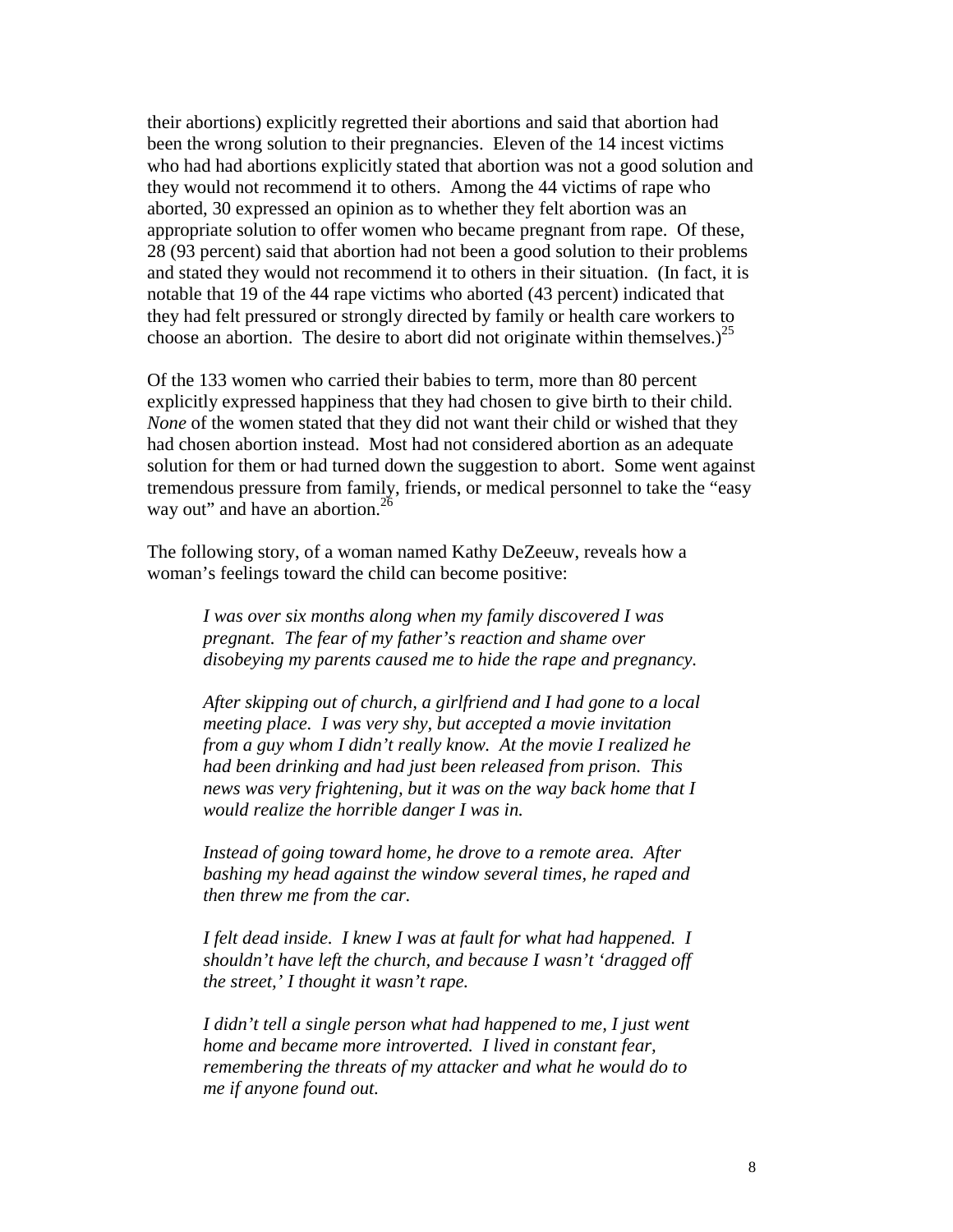their abortions) explicitly regretted their abortions and said that abortion had been the wrong solution to their pregnancies. Eleven of the 14 incest victims who had had abortions explicitly stated that abortion was not a good solution and they would not recommend it to others. Among the 44 victims of rape who aborted, 30 expressed an opinion as to whether they felt abortion was an appropriate solution to offer women who became pregnant from rape. Of these, 28 (93 percent) said that abortion had not been a good solution to their problems and stated they would not recommend it to others in their situation. (In fact, it is notable that 19 of the 44 rape victims who aborted (43 percent) indicated that they had felt pressured or strongly directed by family or health care workers to choose an abortion. The desire to abort did not originate within themselves.)<sup>25</sup>

Of the 133 women who carried their babies to term, more than 80 percent explicitly expressed happiness that they had chosen to give birth to their child. *None* of the women stated that they did not want their child or wished that they had chosen abortion instead. Most had not considered abortion as an adequate solution for them or had turned down the suggestion to abort. Some went against tremendous pressure from family, friends, or medical personnel to take the "easy way out" and have an abortion. $^{26}$ 

The following story, of a woman named Kathy DeZeeuw, reveals how a woman's feelings toward the child can become positive:

> *I was over six months along when my family discovered I was pregnant. The fear of my father's reaction and shame over disobeying my parents caused me to hide the rape and pregnancy.*

> *After skipping out of church, a girlfriend and I had gone to a local meeting place. I was very shy, but accepted a movie invitation from a guy whom I didn't really know. At the movie I realized he had been drinking and had just been released from prison. This news was very frightening, but it was on the way back home that I would realize the horrible danger I was in.*

*Instead of going toward home, he drove to a remote area. After bashing my head against the window several times, he raped and then threw me from the car.* 

*I felt dead inside. I knew I was at fault for what had happened. I shouldn't have left the church, and because I wasn't 'dragged off the street,' I thought it wasn't rape.* 

*I* didn't tell a single person what had happened to me, I just went *home and became more introverted. I lived in constant fear, remembering the threats of my attacker and what he would do to me if anyone found out.*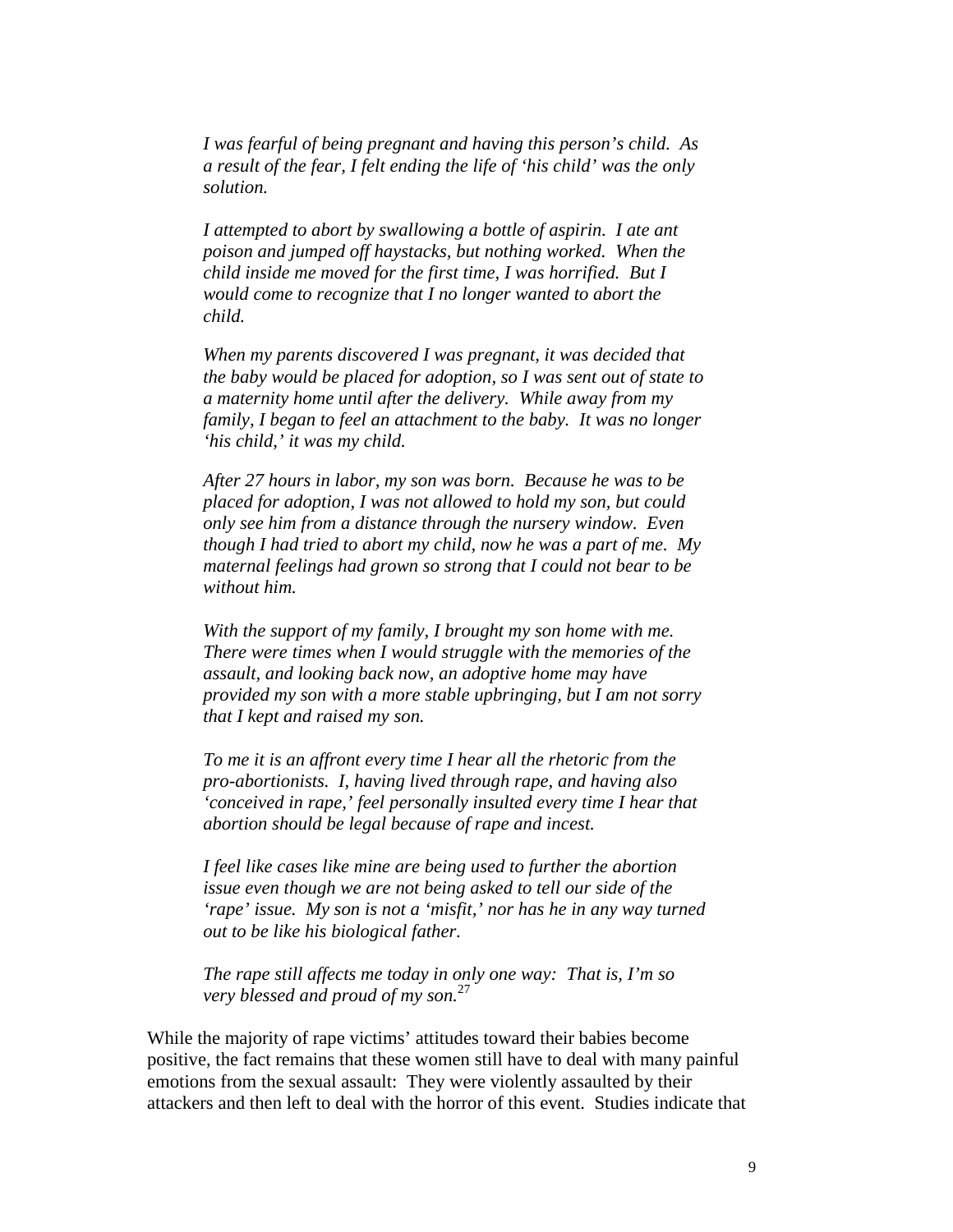*I was fearful of being pregnant and having this person's child. As a result of the fear, I felt ending the life of 'his child' was the only solution.* 

*I attempted to abort by swallowing a bottle of aspirin. I ate ant poison and jumped off haystacks, but nothing worked. When the child inside me moved for the first time, I was horrified. But I would come to recognize that I no longer wanted to abort the child.* 

*When my parents discovered I was pregnant, it was decided that the baby would be placed for adoption, so I was sent out of state to a maternity home until after the delivery. While away from my family, I began to feel an attachment to the baby. It was no longer 'his child,' it was my child.* 

*After 27 hours in labor, my son was born. Because he was to be placed for adoption, I was not allowed to hold my son, but could only see him from a distance through the nursery window. Even though I had tried to abort my child, now he was a part of me. My maternal feelings had grown so strong that I could not bear to be without him.* 

*With the support of my family, I brought my son home with me. There were times when I would struggle with the memories of the assault, and looking back now, an adoptive home may have provided my son with a more stable upbringing, but I am not sorry that I kept and raised my son.* 

*To me it is an affront every time I hear all the rhetoric from the pro-abortionists. I, having lived through rape, and having also 'conceived in rape,' feel personally insulted every time I hear that abortion should be legal because of rape and incest.* 

*I feel like cases like mine are being used to further the abortion issue even though we are not being asked to tell our side of the 'rape' issue. My son is not a 'misfit,' nor has he in any way turned out to be like his biological father.* 

*The rape still affects me today in only one way: That is, I'm so very blessed and proud of my son.*<sup>27</sup>

While the majority of rape victims' attitudes toward their babies become positive, the fact remains that these women still have to deal with many painful emotions from the sexual assault: They were violently assaulted by their attackers and then left to deal with the horror of this event. Studies indicate that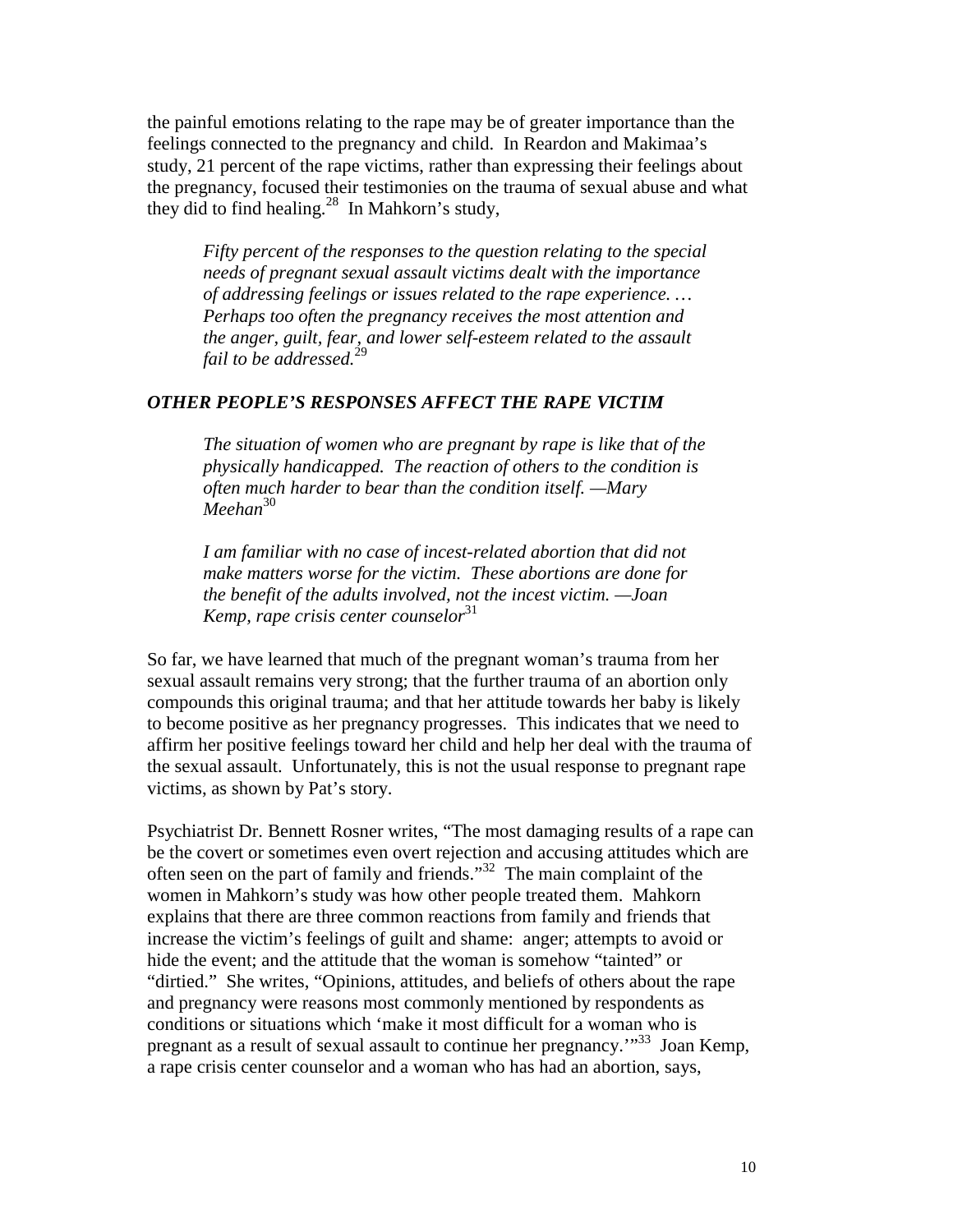the painful emotions relating to the rape may be of greater importance than the feelings connected to the pregnancy and child. In Reardon and Makimaa's study, 21 percent of the rape victims, rather than expressing their feelings about the pregnancy, focused their testimonies on the trauma of sexual abuse and what they did to find healing.<sup>28</sup> In Mahkorn's study,

*Fifty percent of the responses to the question relating to the special needs of pregnant sexual assault victims dealt with the importance of addressing feelings or issues related to the rape experience. … Perhaps too often the pregnancy receives the most attention and the anger, guilt, fear, and lower self-esteem related to the assault fail to be addressed.*<sup>29</sup>

### *OTHER PEOPLE'S RESPONSES AFFECT THE RAPE VICTIM*

*The situation of women who are pregnant by rape is like that of the physically handicapped. The reaction of others to the condition is often much harder to bear than the condition itself. —Mary Meehan*<sup>30</sup>

*I am familiar with no case of incest-related abortion that did not make matters worse for the victim. These abortions are done for the benefit of the adults involved, not the incest victim. —Joan Kemp, rape crisis center counselor*<sup>31</sup>

So far, we have learned that much of the pregnant woman's trauma from her sexual assault remains very strong; that the further trauma of an abortion only compounds this original trauma; and that her attitude towards her baby is likely to become positive as her pregnancy progresses. This indicates that we need to affirm her positive feelings toward her child and help her deal with the trauma of the sexual assault. Unfortunately, this is not the usual response to pregnant rape victims, as shown by Pat's story.

Psychiatrist Dr. Bennett Rosner writes, "The most damaging results of a rape can be the covert or sometimes even overt rejection and accusing attitudes which are often seen on the part of family and friends."32 The main complaint of the women in Mahkorn's study was how other people treated them. Mahkorn explains that there are three common reactions from family and friends that increase the victim's feelings of guilt and shame: anger; attempts to avoid or hide the event; and the attitude that the woman is somehow "tainted" or "dirtied." She writes, "Opinions, attitudes, and beliefs of others about the rape and pregnancy were reasons most commonly mentioned by respondents as conditions or situations which 'make it most difficult for a woman who is pregnant as a result of sexual assault to continue her pregnancy.'"33 Joan Kemp, a rape crisis center counselor and a woman who has had an abortion, says,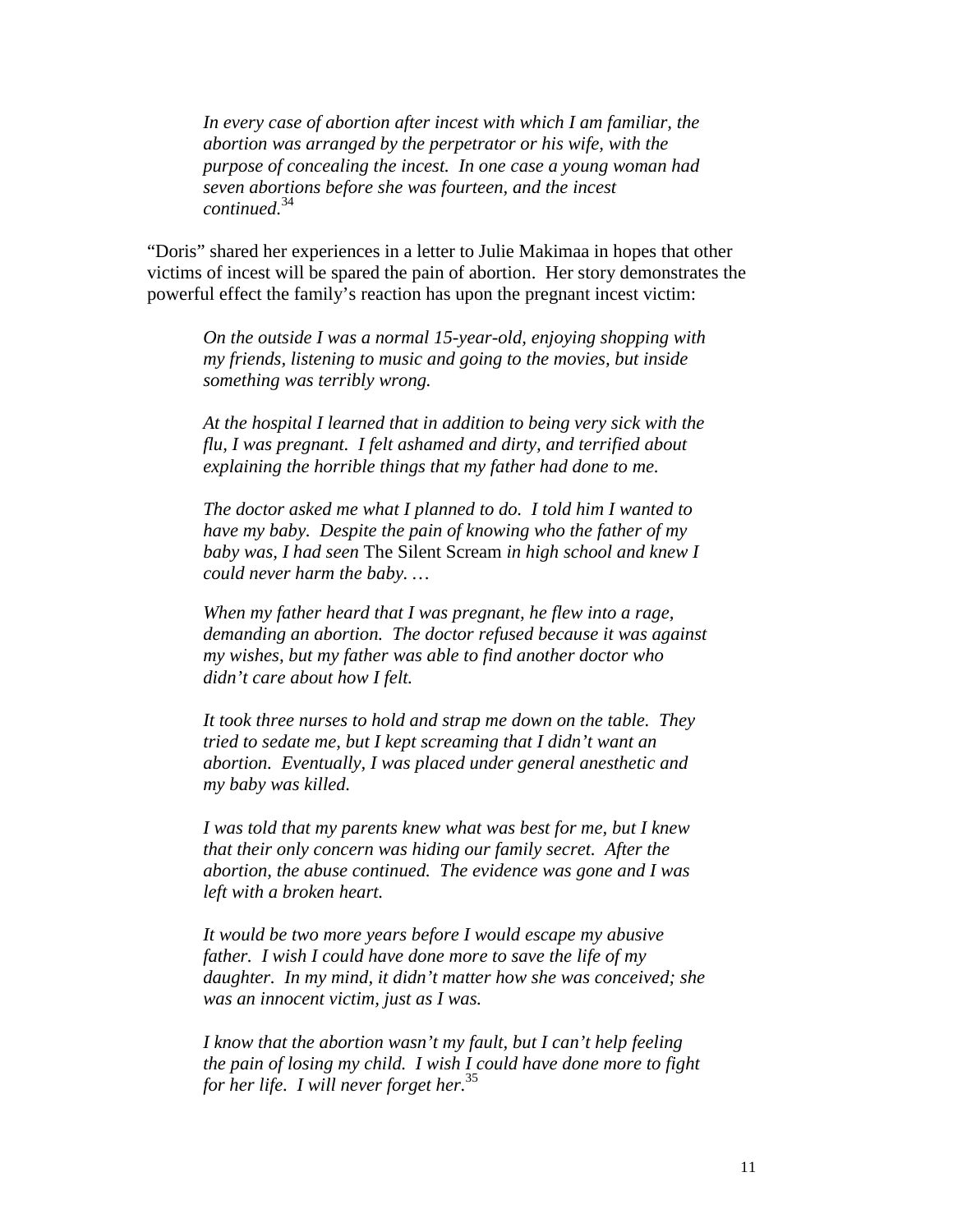*In every case of abortion after incest with which I am familiar, the abortion was arranged by the perpetrator or his wife, with the purpose of concealing the incest. In one case a young woman had seven abortions before she was fourteen, and the incest continued.*<sup>34</sup>

"Doris" shared her experiences in a letter to Julie Makimaa in hopes that other victims of incest will be spared the pain of abortion. Her story demonstrates the powerful effect the family's reaction has upon the pregnant incest victim:

*On the outside I was a normal 15-year-old, enjoying shopping with my friends, listening to music and going to the movies, but inside something was terribly wrong.* 

*At the hospital I learned that in addition to being very sick with the flu, I was pregnant. I felt ashamed and dirty, and terrified about explaining the horrible things that my father had done to me.* 

*The doctor asked me what I planned to do. I told him I wanted to have my baby. Despite the pain of knowing who the father of my baby was, I had seen* The Silent Scream *in high school and knew I could never harm the baby. …* 

*When my father heard that I was pregnant, he flew into a rage, demanding an abortion. The doctor refused because it was against my wishes, but my father was able to find another doctor who didn't care about how I felt.* 

*It took three nurses to hold and strap me down on the table. They tried to sedate me, but I kept screaming that I didn't want an abortion. Eventually, I was placed under general anesthetic and my baby was killed.* 

*I was told that my parents knew what was best for me, but I knew that their only concern was hiding our family secret. After the abortion, the abuse continued. The evidence was gone and I was left with a broken heart.* 

*It would be two more years before I would escape my abusive father. I wish I could have done more to save the life of my daughter. In my mind, it didn't matter how she was conceived; she was an innocent victim, just as I was.* 

*I know that the abortion wasn't my fault, but I can't help feeling the pain of losing my child. I wish I could have done more to fight for her life. I will never forget her.*<sup>35</sup>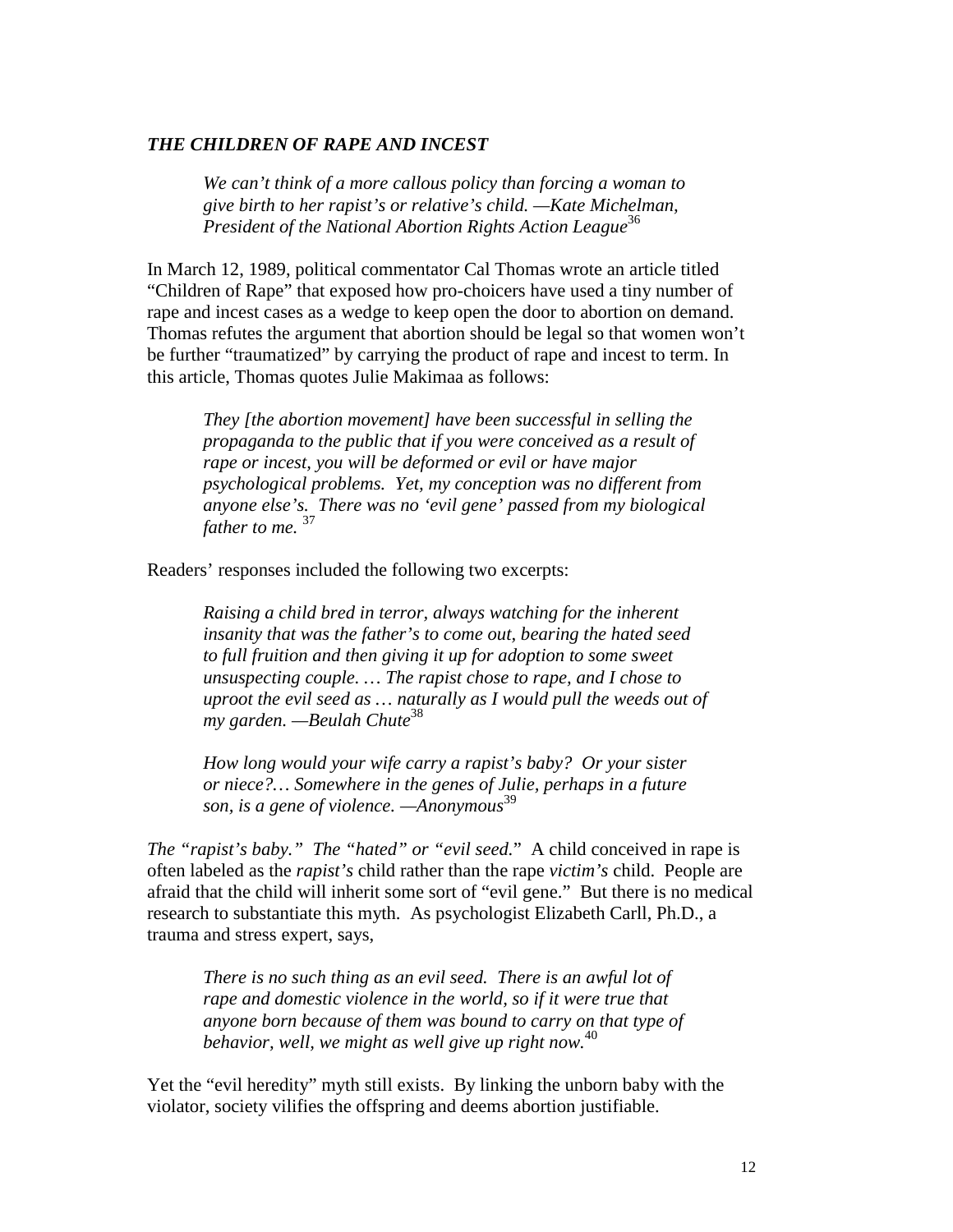#### *THE CHILDREN OF RAPE AND INCEST*

*We can't think of a more callous policy than forcing a woman to give birth to her rapist's or relative's child. —Kate Michelman, President of the National Abortion Rights Action League*<sup>36</sup>

In March 12, 1989, political commentator Cal Thomas wrote an article titled "Children of Rape" that exposed how pro-choicers have used a tiny number of rape and incest cases as a wedge to keep open the door to abortion on demand. Thomas refutes the argument that abortion should be legal so that women won't be further "traumatized" by carrying the product of rape and incest to term. In this article, Thomas quotes Julie Makimaa as follows:

*They [the abortion movement] have been successful in selling the propaganda to the public that if you were conceived as a result of rape or incest, you will be deformed or evil or have major psychological problems. Yet, my conception was no different from anyone else's. There was no 'evil gene' passed from my biological father to me.* <sup>37</sup>

Readers' responses included the following two excerpts:

*Raising a child bred in terror, always watching for the inherent insanity that was the father's to come out, bearing the hated seed to full fruition and then giving it up for adoption to some sweet unsuspecting couple. … The rapist chose to rape, and I chose to uproot the evil seed as … naturally as I would pull the weeds out of my garden. —Beulah Chute*<sup>38</sup>

*How long would your wife carry a rapist's baby? Or your sister or niece?… Somewhere in the genes of Julie, perhaps in a future son, is a gene of violence. —Anonymous*<sup>39</sup>

*The "rapist's baby." The "hated" or "evil seed.*" A child conceived in rape is often labeled as the *rapist's* child rather than the rape *victim's* child. People are afraid that the child will inherit some sort of "evil gene." But there is no medical research to substantiate this myth. As psychologist Elizabeth Carll, Ph.D., a trauma and stress expert, says,

*There is no such thing as an evil seed. There is an awful lot of rape and domestic violence in the world, so if it were true that anyone born because of them was bound to carry on that type of behavior, well, we might as well give up right now.*<sup>40</sup>

Yet the "evil heredity" myth still exists. By linking the unborn baby with the violator, society vilifies the offspring and deems abortion justifiable.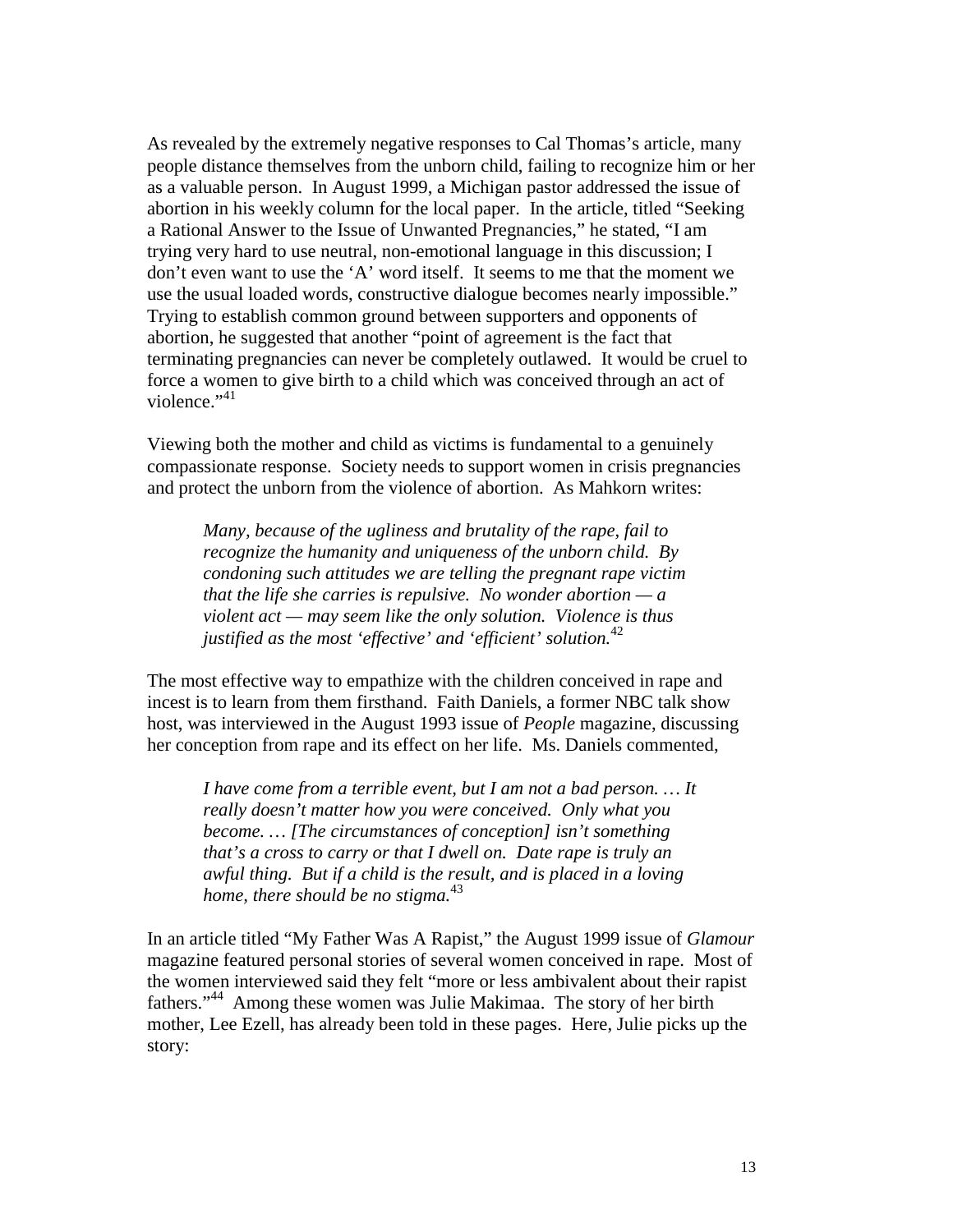As revealed by the extremely negative responses to Cal Thomas's article, many people distance themselves from the unborn child, failing to recognize him or her as a valuable person. In August 1999, a Michigan pastor addressed the issue of abortion in his weekly column for the local paper. In the article, titled "Seeking a Rational Answer to the Issue of Unwanted Pregnancies," he stated, "I am trying very hard to use neutral, non-emotional language in this discussion; I don't even want to use the 'A' word itself. It seems to me that the moment we use the usual loaded words, constructive dialogue becomes nearly impossible." Trying to establish common ground between supporters and opponents of abortion, he suggested that another "point of agreement is the fact that terminating pregnancies can never be completely outlawed. It would be cruel to force a women to give birth to a child which was conceived through an act of violence." $41$ 

Viewing both the mother and child as victims is fundamental to a genuinely compassionate response. Society needs to support women in crisis pregnancies and protect the unborn from the violence of abortion. As Mahkorn writes:

*Many, because of the ugliness and brutality of the rape, fail to recognize the humanity and uniqueness of the unborn child. By condoning such attitudes we are telling the pregnant rape victim that the life she carries is repulsive. No wonder abortion — a violent act — may seem like the only solution. Violence is thus justified as the most 'effective' and 'efficient' solution.*<sup>42</sup>

The most effective way to empathize with the children conceived in rape and incest is to learn from them firsthand. Faith Daniels, a former NBC talk show host, was interviewed in the August 1993 issue of *People* magazine, discussing her conception from rape and its effect on her life. Ms. Daniels commented,

*I have come from a terrible event, but I am not a bad person. … It really doesn't matter how you were conceived. Only what you become. … [The circumstances of conception] isn't something that's a cross to carry or that I dwell on. Date rape is truly an awful thing. But if a child is the result, and is placed in a loving home, there should be no stigma.*<sup>43</sup>

In an article titled "My Father Was A Rapist," the August 1999 issue of *Glamour* magazine featured personal stories of several women conceived in rape. Most of the women interviewed said they felt "more or less ambivalent about their rapist fathers."44 Among these women was Julie Makimaa. The story of her birth mother, Lee Ezell, has already been told in these pages. Here, Julie picks up the story: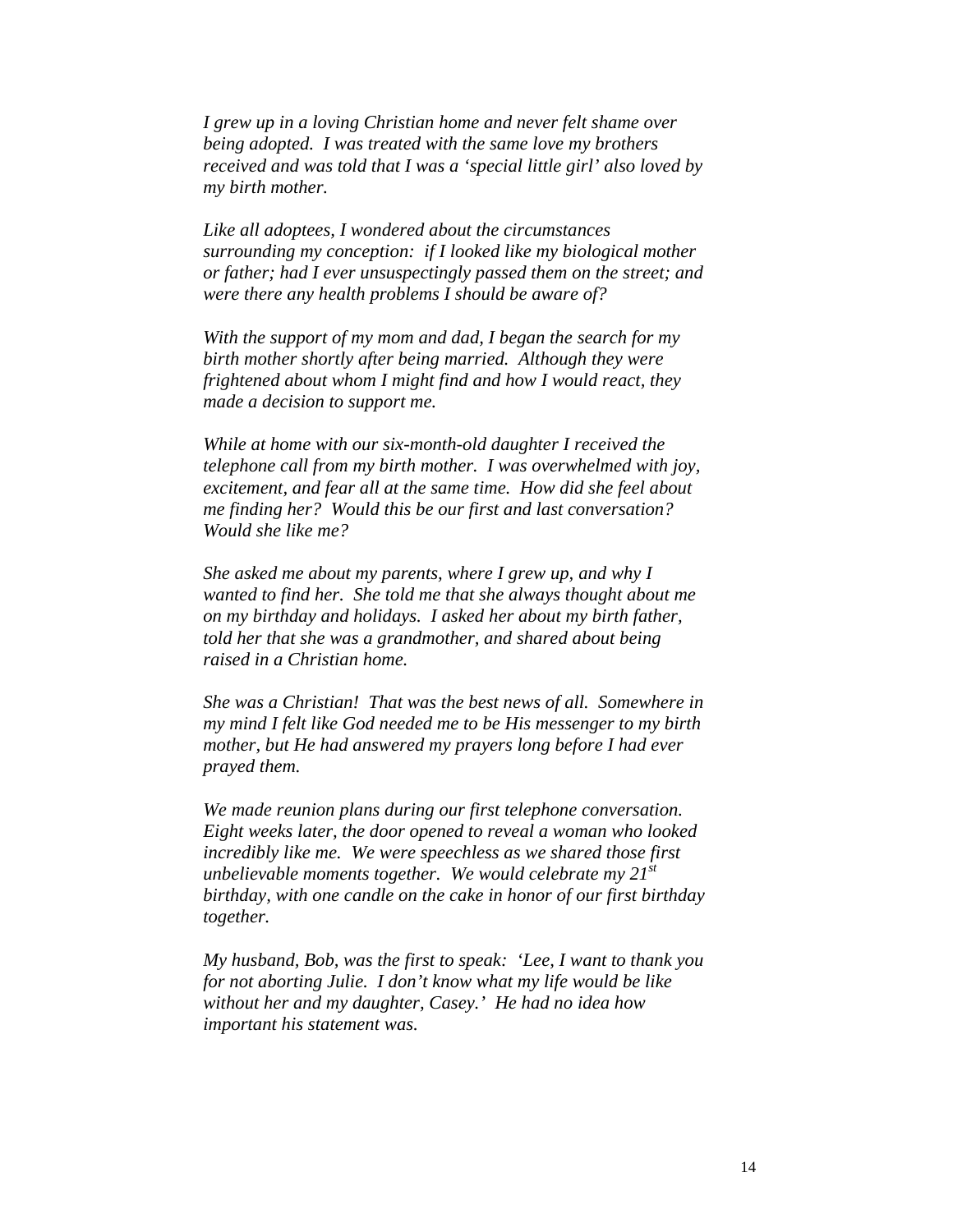*I grew up in a loving Christian home and never felt shame over being adopted. I was treated with the same love my brothers received and was told that I was a 'special little girl' also loved by my birth mother.* 

*Like all adoptees, I wondered about the circumstances surrounding my conception: if I looked like my biological mother or father; had I ever unsuspectingly passed them on the street; and were there any health problems I should be aware of?* 

*With the support of my mom and dad, I began the search for my birth mother shortly after being married. Although they were frightened about whom I might find and how I would react, they made a decision to support me.* 

*While at home with our six-month-old daughter I received the telephone call from my birth mother. I was overwhelmed with joy, excitement, and fear all at the same time. How did she feel about me finding her? Would this be our first and last conversation? Would she like me?* 

*She asked me about my parents, where I grew up, and why I wanted to find her. She told me that she always thought about me on my birthday and holidays. I asked her about my birth father, told her that she was a grandmother, and shared about being raised in a Christian home.* 

*She was a Christian! That was the best news of all. Somewhere in my mind I felt like God needed me to be His messenger to my birth mother, but He had answered my prayers long before I had ever prayed them.* 

*We made reunion plans during our first telephone conversation. Eight weeks later, the door opened to reveal a woman who looked incredibly like me. We were speechless as we shared those first unbelievable moments together. We would celebrate my 21st birthday, with one candle on the cake in honor of our first birthday together.* 

*My husband, Bob, was the first to speak: 'Lee, I want to thank you for not aborting Julie. I don't know what my life would be like without her and my daughter, Casey.' He had no idea how important his statement was.*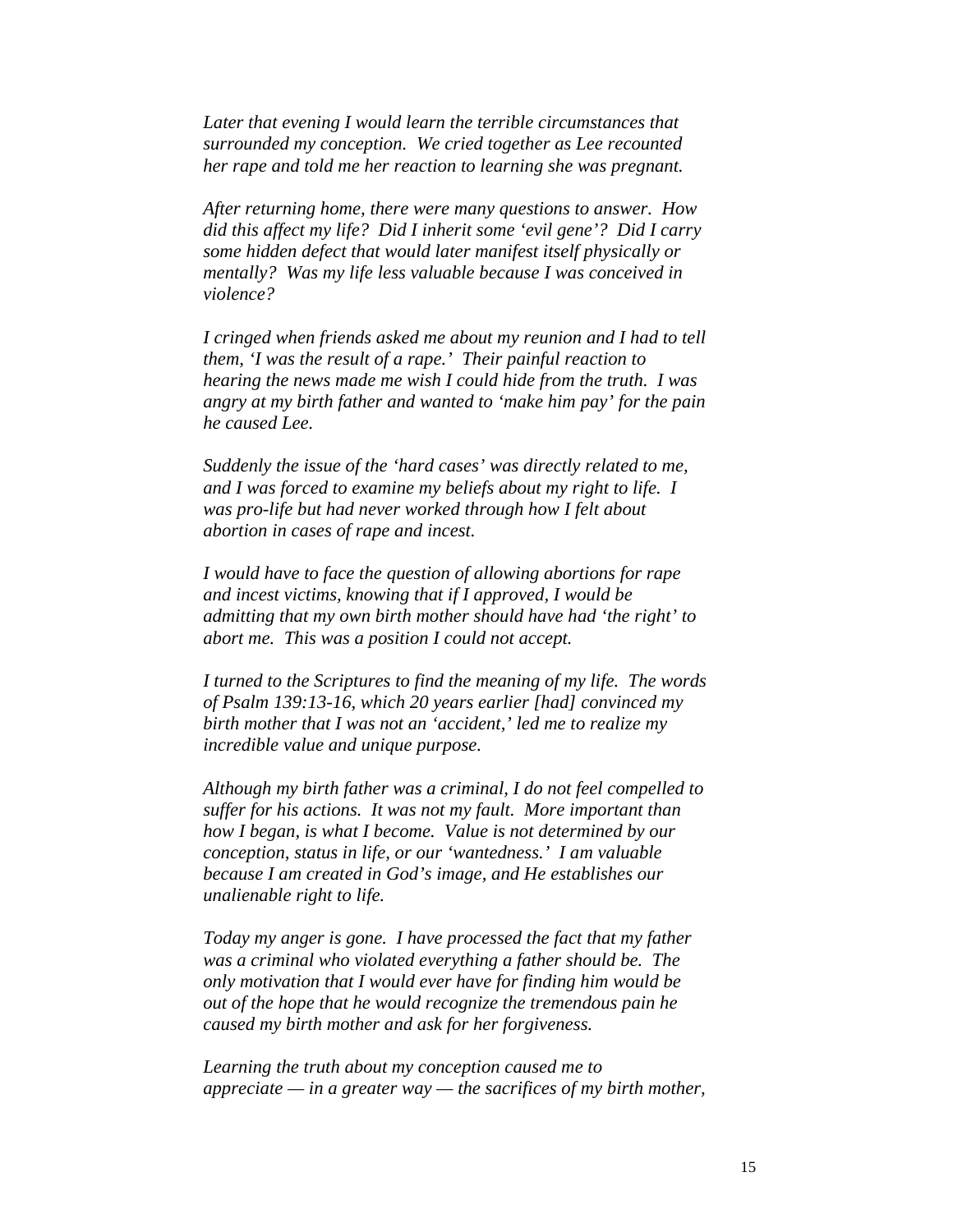*Later that evening I would learn the terrible circumstances that surrounded my conception. We cried together as Lee recounted her rape and told me her reaction to learning she was pregnant.* 

*After returning home, there were many questions to answer. How did this affect my life? Did I inherit some 'evil gene'? Did I carry some hidden defect that would later manifest itself physically or mentally? Was my life less valuable because I was conceived in violence?* 

*I cringed when friends asked me about my reunion and I had to tell them, 'I was the result of a rape.' Their painful reaction to hearing the news made me wish I could hide from the truth. I was angry at my birth father and wanted to 'make him pay' for the pain he caused Lee.* 

*Suddenly the issue of the 'hard cases' was directly related to me, and I was forced to examine my beliefs about my right to life. I was pro-life but had never worked through how I felt about abortion in cases of rape and incest.* 

*I would have to face the question of allowing abortions for rape and incest victims, knowing that if I approved, I would be admitting that my own birth mother should have had 'the right' to abort me. This was a position I could not accept.* 

*I turned to the Scriptures to find the meaning of my life. The words of Psalm 139:13-16, which 20 years earlier [had] convinced my birth mother that I was not an 'accident,' led me to realize my incredible value and unique purpose.* 

*Although my birth father was a criminal, I do not feel compelled to suffer for his actions. It was not my fault. More important than how I began, is what I become. Value is not determined by our conception, status in life, or our 'wantedness.' I am valuable because I am created in God's image, and He establishes our unalienable right to life.* 

*Today my anger is gone. I have processed the fact that my father was a criminal who violated everything a father should be. The only motivation that I would ever have for finding him would be out of the hope that he would recognize the tremendous pain he caused my birth mother and ask for her forgiveness.* 

*Learning the truth about my conception caused me to appreciate — in a greater way — the sacrifices of my birth mother,*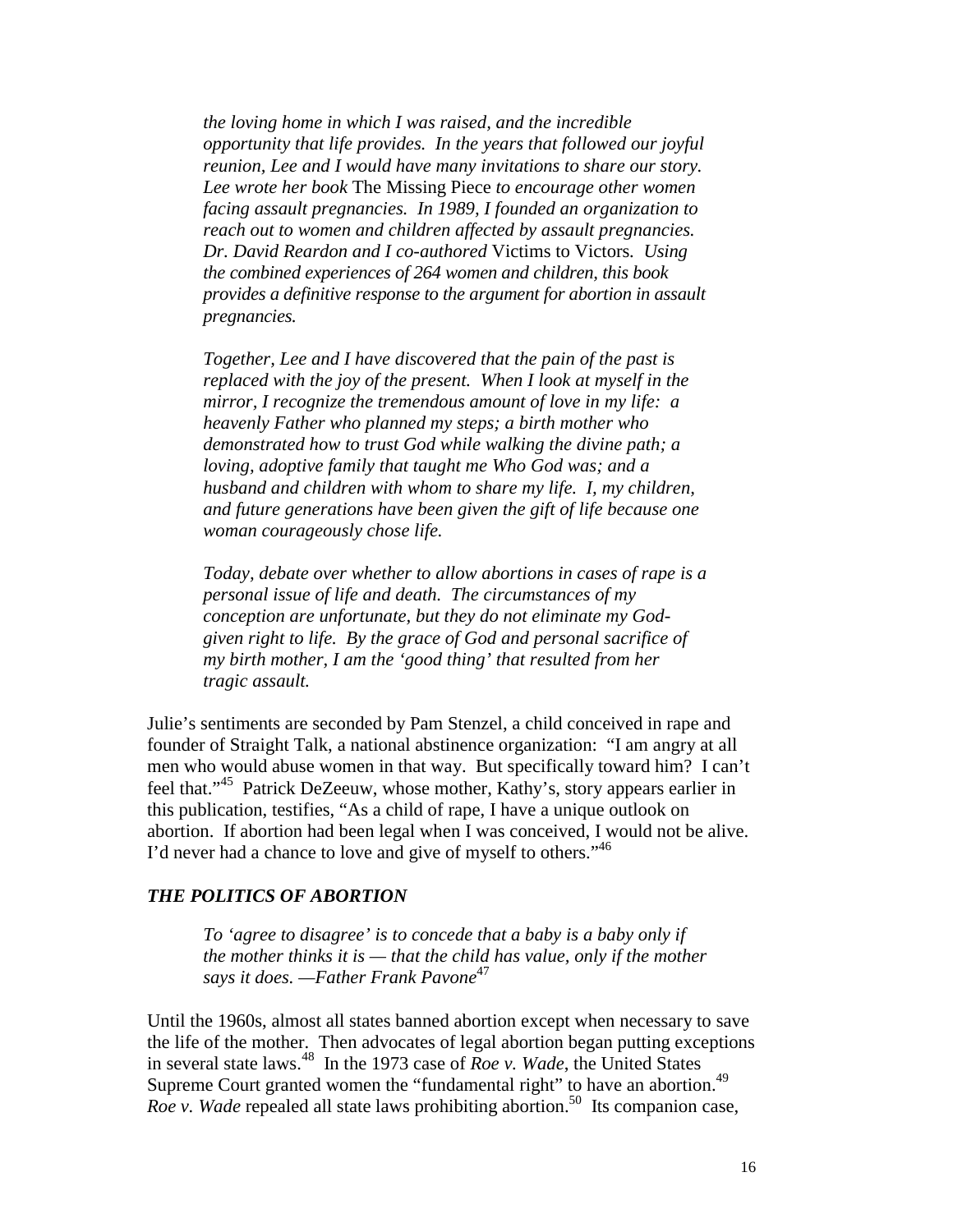*the loving home in which I was raised, and the incredible opportunity that life provides. In the years that followed our joyful reunion, Lee and I would have many invitations to share our story. Lee wrote her book* The Missing Piece *to encourage other women facing assault pregnancies. In 1989, I founded an organization to reach out to women and children affected by assault pregnancies. Dr. David Reardon and I co-authored* Victims to Victors*. Using the combined experiences of 264 women and children, this book provides a definitive response to the argument for abortion in assault pregnancies.* 

*Together, Lee and I have discovered that the pain of the past is replaced with the joy of the present. When I look at myself in the mirror, I recognize the tremendous amount of love in my life: a heavenly Father who planned my steps; a birth mother who demonstrated how to trust God while walking the divine path; a loving, adoptive family that taught me Who God was; and a husband and children with whom to share my life. I, my children, and future generations have been given the gift of life because one woman courageously chose life.* 

*Today, debate over whether to allow abortions in cases of rape is a personal issue of life and death. The circumstances of my conception are unfortunate, but they do not eliminate my Godgiven right to life. By the grace of God and personal sacrifice of my birth mother, I am the 'good thing' that resulted from her tragic assault.* 

Julie's sentiments are seconded by Pam Stenzel, a child conceived in rape and founder of Straight Talk, a national abstinence organization: "I am angry at all men who would abuse women in that way. But specifically toward him? I can't feel that."45 Patrick DeZeeuw, whose mother, Kathy's, story appears earlier in this publication, testifies, "As a child of rape, I have a unique outlook on abortion. If abortion had been legal when I was conceived, I would not be alive. I'd never had a chance to love and give of myself to others."<sup>46</sup>

#### *THE POLITICS OF ABORTION*

*To 'agree to disagree' is to concede that a baby is a baby only if the mother thinks it is — that the child has value, only if the mother says it does. —Father Frank Pavone*<sup>47</sup>

Until the 1960s, almost all states banned abortion except when necessary to save the life of the mother. Then advocates of legal abortion began putting exceptions in several state laws.48 In the 1973 case of *Roe v. Wade*, the United States Supreme Court granted women the "fundamental right" to have an abortion.<sup>49</sup> *Roe v. Wade* repealed all state laws prohibiting abortion.<sup>50</sup> Its companion case,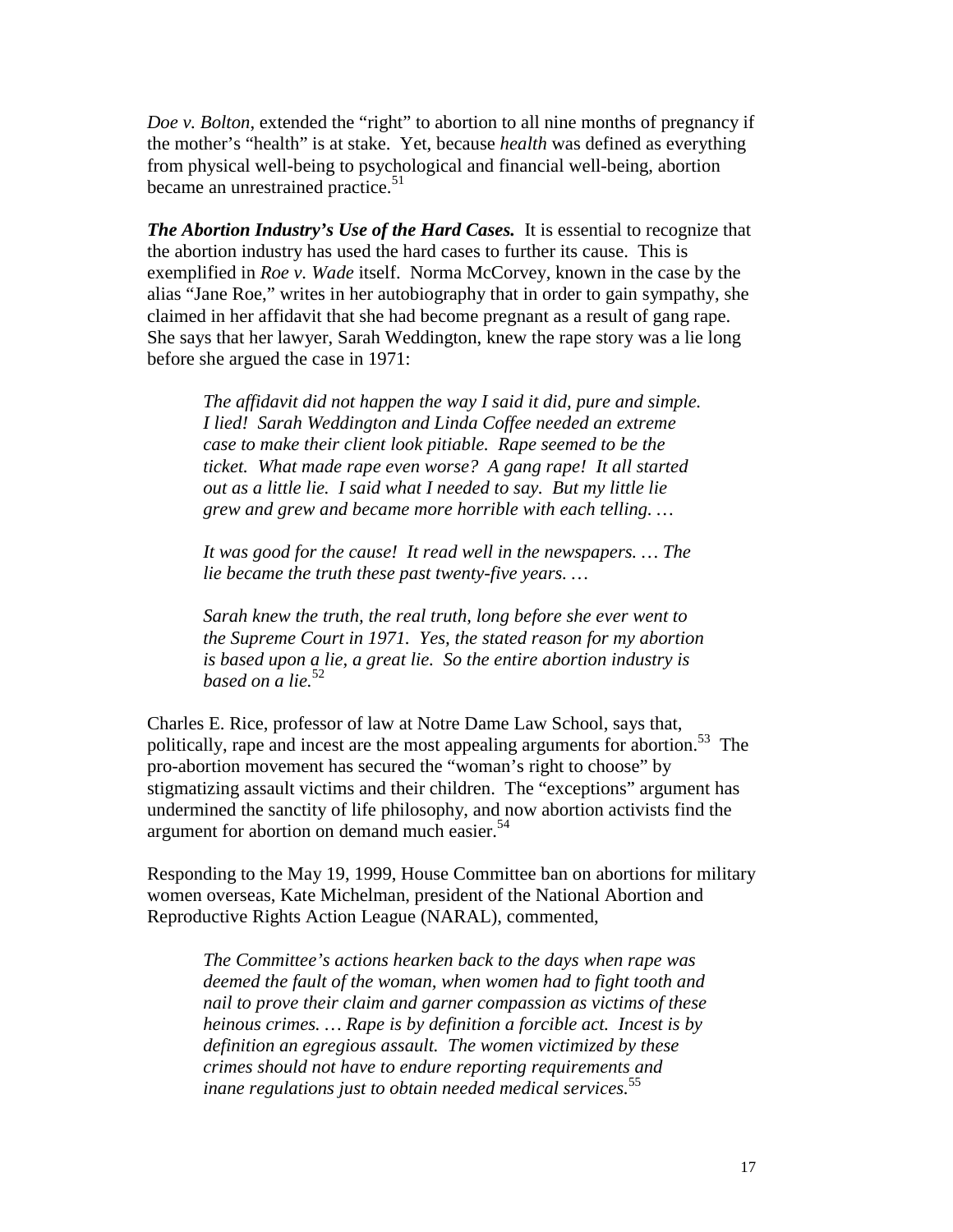*Doe v. Bolton*, extended the "right" to abortion to all nine months of pregnancy if the mother's "health" is at stake. Yet, because *health* was defined as everything from physical well-being to psychological and financial well-being, abortion became an unrestrained practice.<sup>51</sup>

*The Abortion Industry's Use of the Hard Cases.* It is essential to recognize that the abortion industry has used the hard cases to further its cause. This is exemplified in *Roe v. Wade* itself. Norma McCorvey, known in the case by the alias "Jane Roe," writes in her autobiography that in order to gain sympathy, she claimed in her affidavit that she had become pregnant as a result of gang rape. She says that her lawyer, Sarah Weddington, knew the rape story was a lie long before she argued the case in 1971:

*The affidavit did not happen the way I said it did, pure and simple. I lied! Sarah Weddington and Linda Coffee needed an extreme case to make their client look pitiable. Rape seemed to be the ticket. What made rape even worse? A gang rape! It all started out as a little lie. I said what I needed to say. But my little lie grew and grew and became more horrible with each telling. …* 

*It was good for the cause! It read well in the newspapers. … The lie became the truth these past twenty-five years. …* 

*Sarah knew the truth, the real truth, long before she ever went to the Supreme Court in 1971. Yes, the stated reason for my abortion is based upon a lie, a great lie. So the entire abortion industry is based on a lie.*<sup>52</sup>

Charles E. Rice, professor of law at Notre Dame Law School, says that, politically, rape and incest are the most appealing arguments for abortion.<sup>53</sup> The pro-abortion movement has secured the "woman's right to choose" by stigmatizing assault victims and their children. The "exceptions" argument has undermined the sanctity of life philosophy, and now abortion activists find the argument for abortion on demand much easier.<sup>54</sup>

Responding to the May 19, 1999, House Committee ban on abortions for military women overseas, Kate Michelman, president of the National Abortion and Reproductive Rights Action League (NARAL), commented,

*The Committee's actions hearken back to the days when rape was deemed the fault of the woman, when women had to fight tooth and nail to prove their claim and garner compassion as victims of these heinous crimes. … Rape is by definition a forcible act. Incest is by definition an egregious assault. The women victimized by these crimes should not have to endure reporting requirements and inane regulations just to obtain needed medical services.*<sup>55</sup>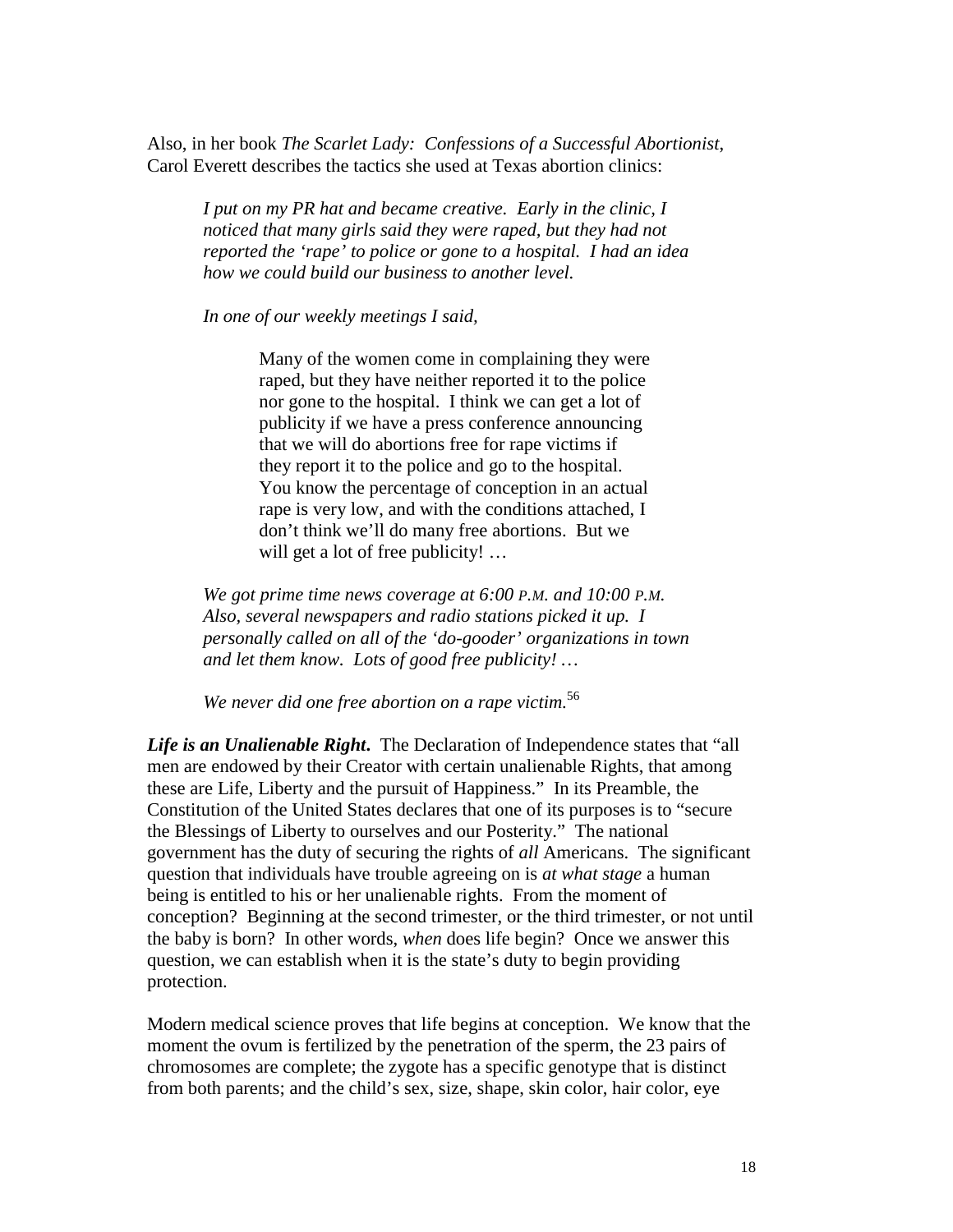Also, in her book *The Scarlet Lady: Confessions of a Successful Abortionist*, Carol Everett describes the tactics she used at Texas abortion clinics:

*I put on my PR hat and became creative. Early in the clinic, I noticed that many girls said they were raped, but they had not reported the 'rape' to police or gone to a hospital. I had an idea how we could build our business to another level.* 

*In one of our weekly meetings I said,* 

Many of the women come in complaining they were raped, but they have neither reported it to the police nor gone to the hospital. I think we can get a lot of publicity if we have a press conference announcing that we will do abortions free for rape victims if they report it to the police and go to the hospital. You know the percentage of conception in an actual rape is very low, and with the conditions attached, I don't think we'll do many free abortions. But we will get a lot of free publicity! ...

*We got prime time news coverage at 6:00 P.M. and 10:00 P.M. Also, several newspapers and radio stations picked it up. I personally called on all of the 'do-gooder' organizations in town and let them know. Lots of good free publicity! …* 

*We never did one free abortion on a rape victim.*<sup>56</sup>

*Life is an Unalienable Right***.** The Declaration of Independence states that "all men are endowed by their Creator with certain unalienable Rights, that among these are Life, Liberty and the pursuit of Happiness." In its Preamble, the Constitution of the United States declares that one of its purposes is to "secure the Blessings of Liberty to ourselves and our Posterity." The national government has the duty of securing the rights of *all* Americans. The significant question that individuals have trouble agreeing on is *at what stage* a human being is entitled to his or her unalienable rights. From the moment of conception? Beginning at the second trimester, or the third trimester, or not until the baby is born? In other words, *when* does life begin? Once we answer this question, we can establish when it is the state's duty to begin providing protection.

Modern medical science proves that life begins at conception. We know that the moment the ovum is fertilized by the penetration of the sperm, the 23 pairs of chromosomes are complete; the zygote has a specific genotype that is distinct from both parents; and the child's sex, size, shape, skin color, hair color, eye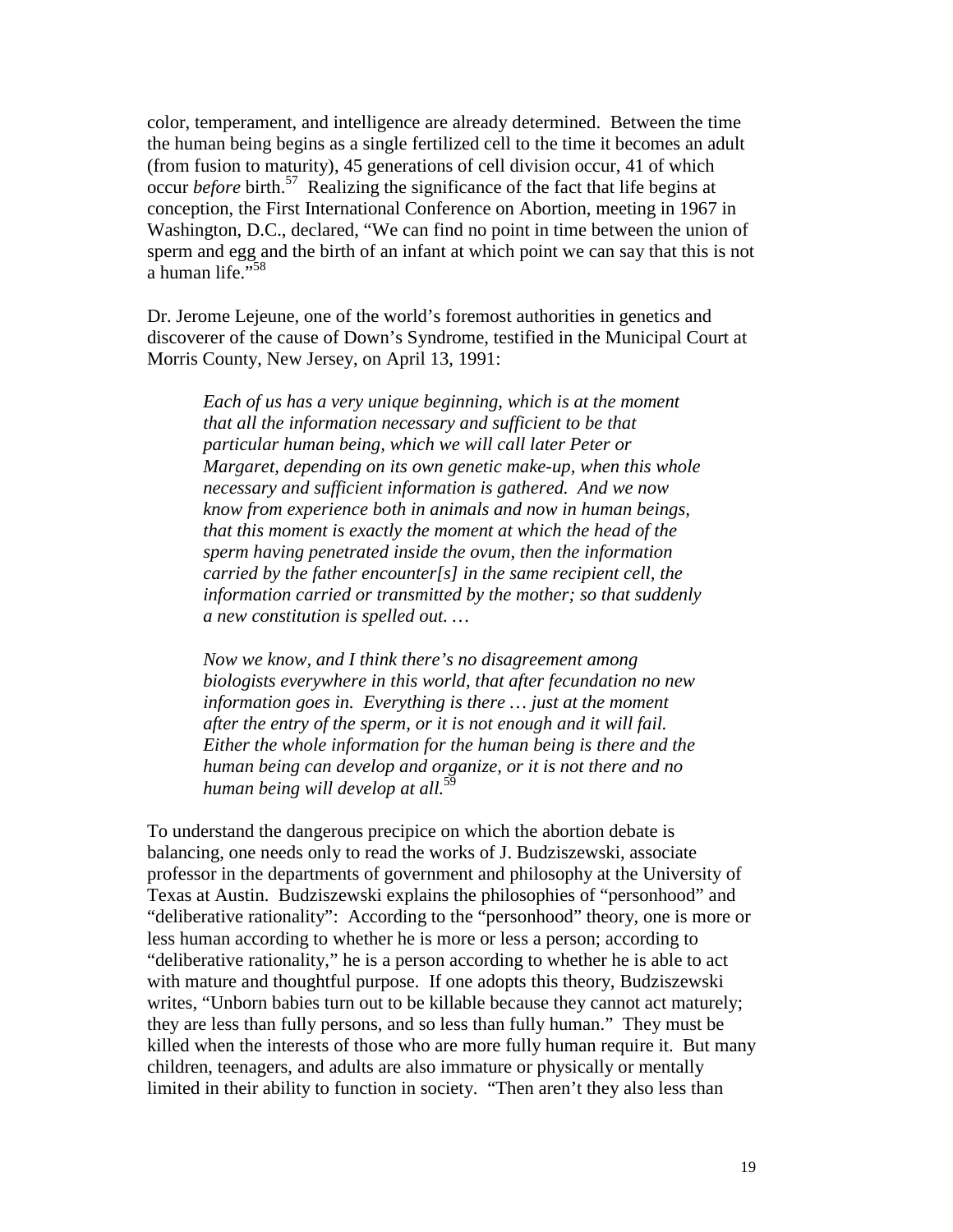color, temperament, and intelligence are already determined. Between the time the human being begins as a single fertilized cell to the time it becomes an adult (from fusion to maturity), 45 generations of cell division occur, 41 of which occur *before* birth.57 Realizing the significance of the fact that life begins at conception, the First International Conference on Abortion, meeting in 1967 in Washington, D.C., declared, "We can find no point in time between the union of sperm and egg and the birth of an infant at which point we can say that this is not a human life."<sup>58</sup>

Dr. Jerome Lejeune, one of the world's foremost authorities in genetics and discoverer of the cause of Down's Syndrome, testified in the Municipal Court at Morris County, New Jersey, on April 13, 1991:

*Each of us has a very unique beginning, which is at the moment that all the information necessary and sufficient to be that particular human being, which we will call later Peter or Margaret, depending on its own genetic make-up, when this whole necessary and sufficient information is gathered. And we now know from experience both in animals and now in human beings, that this moment is exactly the moment at which the head of the sperm having penetrated inside the ovum, then the information carried by the father encounter[s] in the same recipient cell, the information carried or transmitted by the mother; so that suddenly a new constitution is spelled out. …* 

*Now we know, and I think there's no disagreement among biologists everywhere in this world, that after fecundation no new information goes in. Everything is there … just at the moment after the entry of the sperm, or it is not enough and it will fail. Either the whole information for the human being is there and the human being can develop and organize, or it is not there and no human being will develop at all.*<sup>59</sup>

To understand the dangerous precipice on which the abortion debate is balancing, one needs only to read the works of J. Budziszewski, associate professor in the departments of government and philosophy at the University of Texas at Austin. Budziszewski explains the philosophies of "personhood" and "deliberative rationality": According to the "personhood" theory, one is more or less human according to whether he is more or less a person; according to "deliberative rationality," he is a person according to whether he is able to act with mature and thoughtful purpose. If one adopts this theory, Budziszewski writes, "Unborn babies turn out to be killable because they cannot act maturely; they are less than fully persons, and so less than fully human." They must be killed when the interests of those who are more fully human require it. But many children, teenagers, and adults are also immature or physically or mentally limited in their ability to function in society. "Then aren't they also less than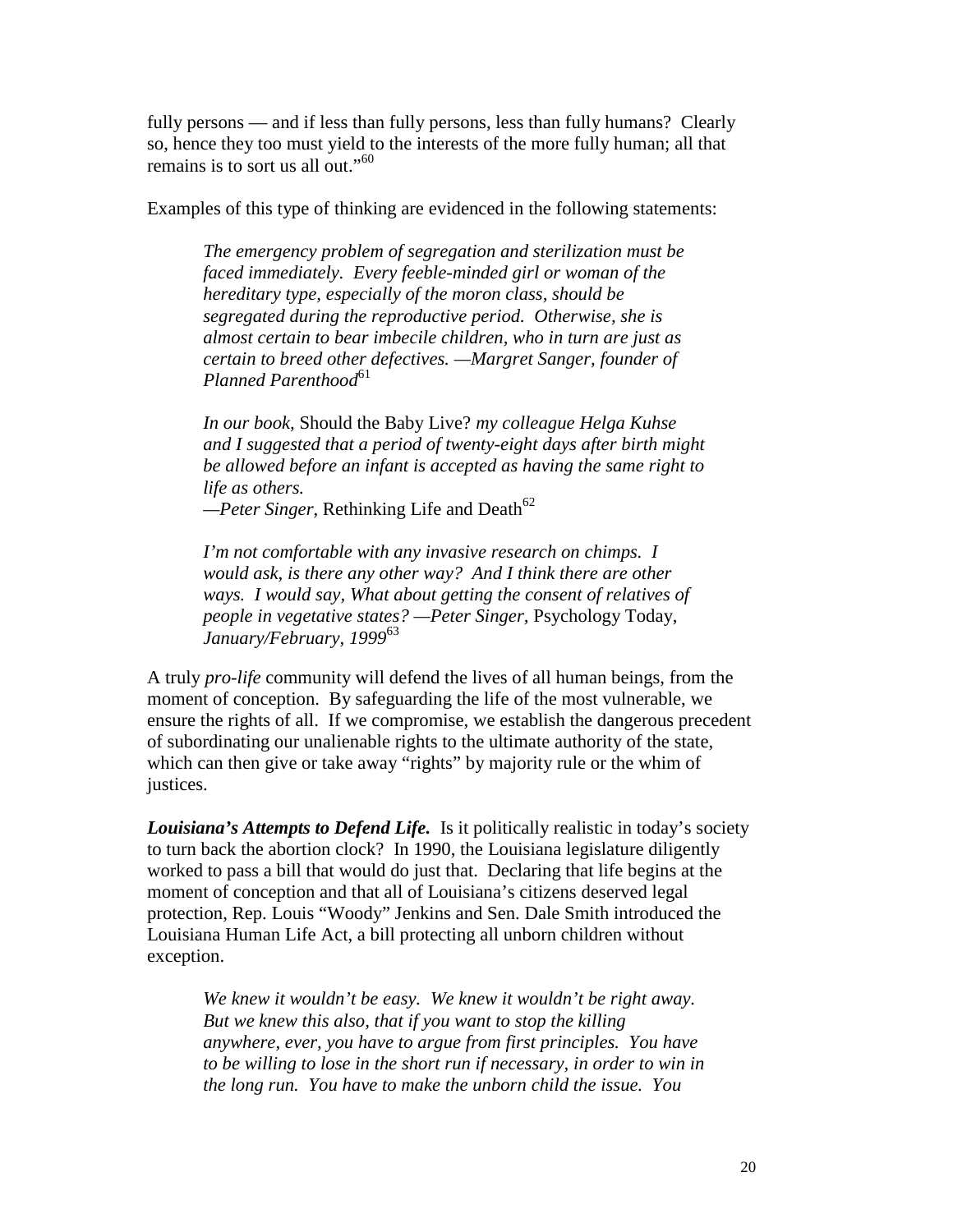fully persons — and if less than fully persons, less than fully humans? Clearly so, hence they too must yield to the interests of the more fully human; all that remains is to sort us all out."<sup>60</sup>

Examples of this type of thinking are evidenced in the following statements:

*The emergency problem of segregation and sterilization must be faced immediately. Every feeble-minded girl or woman of the hereditary type, especially of the moron class, should be segregated during the reproductive period. Otherwise, she is almost certain to bear imbecile children, who in turn are just as certain to breed other defectives. —Margret Sanger, founder of Planned Parenthood*<sup>61</sup>

*In our book,* Should the Baby Live? *my colleague Helga Kuhse and I suggested that a period of twenty-eight days after birth might be allowed before an infant is accepted as having the same right to life as others.* 

<sup>-</sup>Peter Singer, Rethinking Life and Death<sup>62</sup>

*I'm not comfortable with any invasive research on chimps. I would ask, is there any other way? And I think there are other ways. I would say, What about getting the consent of relatives of people in vegetative states? —Peter Singer,* Psychology Today, *January/February, 1999*<sup>63</sup>

A truly *pro-life* community will defend the lives of all human beings, from the moment of conception. By safeguarding the life of the most vulnerable, we ensure the rights of all. If we compromise, we establish the dangerous precedent of subordinating our unalienable rights to the ultimate authority of the state, which can then give or take away "rights" by majority rule or the whim of justices.

*Louisiana's Attempts to Defend Life.* Is it politically realistic in today's society to turn back the abortion clock? In 1990, the Louisiana legislature diligently worked to pass a bill that would do just that. Declaring that life begins at the moment of conception and that all of Louisiana's citizens deserved legal protection, Rep. Louis "Woody" Jenkins and Sen. Dale Smith introduced the Louisiana Human Life Act, a bill protecting all unborn children without exception.

*We knew it wouldn't be easy. We knew it wouldn't be right away. But we knew this also, that if you want to stop the killing anywhere, ever, you have to argue from first principles. You have to be willing to lose in the short run if necessary, in order to win in the long run. You have to make the unborn child the issue. You*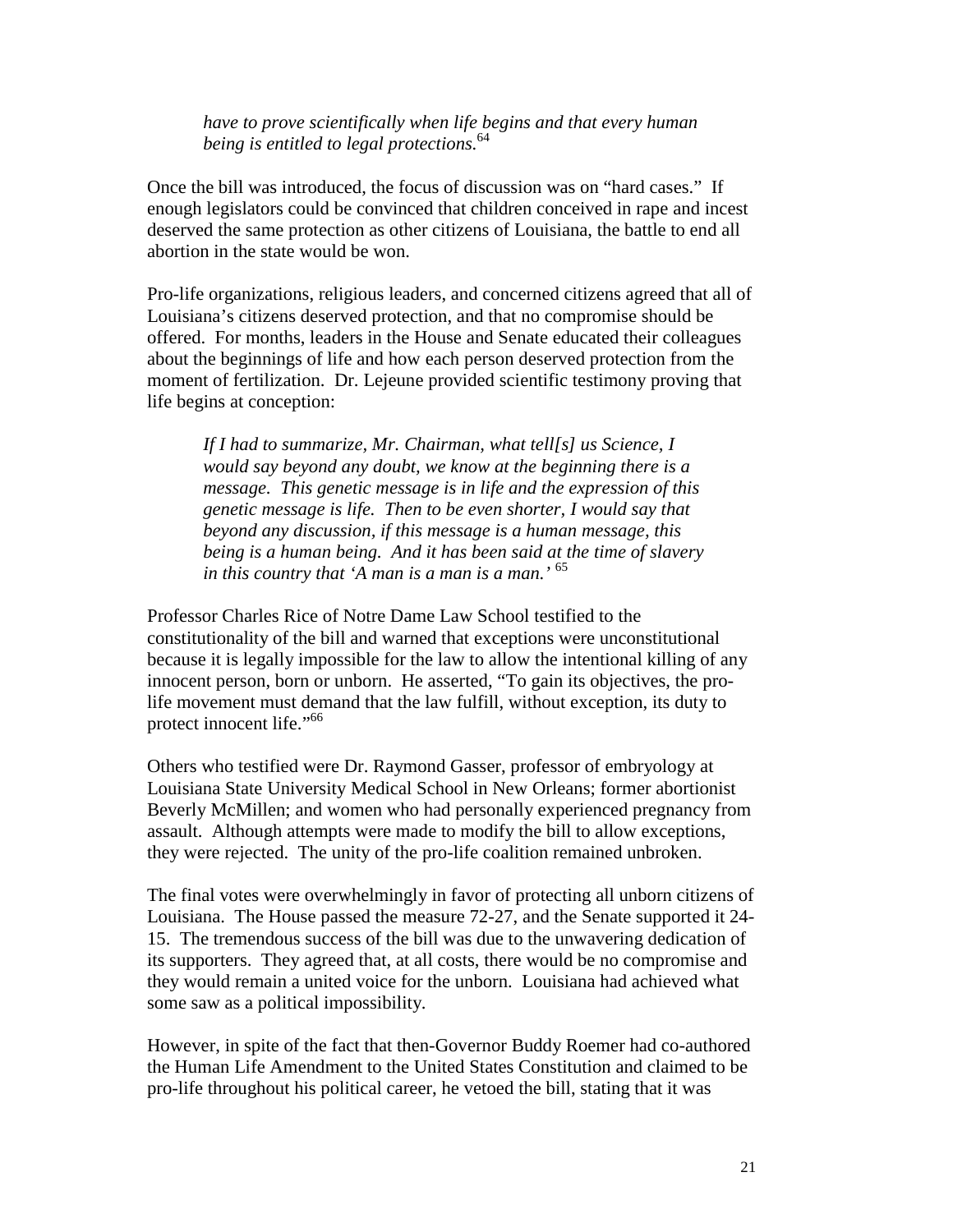*have to prove scientifically when life begins and that every human being is entitled to legal protections.*<sup>64</sup>

Once the bill was introduced, the focus of discussion was on "hard cases." If enough legislators could be convinced that children conceived in rape and incest deserved the same protection as other citizens of Louisiana, the battle to end all abortion in the state would be won.

Pro-life organizations, religious leaders, and concerned citizens agreed that all of Louisiana's citizens deserved protection, and that no compromise should be offered. For months, leaders in the House and Senate educated their colleagues about the beginnings of life and how each person deserved protection from the moment of fertilization. Dr. Lejeune provided scientific testimony proving that life begins at conception:

*If I had to summarize, Mr. Chairman, what tell[s] us Science, I would say beyond any doubt, we know at the beginning there is a message. This genetic message is in life and the expression of this genetic message is life. Then to be even shorter, I would say that beyond any discussion, if this message is a human message, this being is a human being. And it has been said at the time of slavery in this country that 'A man is a man is a man.'* <sup>65</sup>

Professor Charles Rice of Notre Dame Law School testified to the constitutionality of the bill and warned that exceptions were unconstitutional because it is legally impossible for the law to allow the intentional killing of any innocent person, born or unborn. He asserted, "To gain its objectives, the prolife movement must demand that the law fulfill, without exception, its duty to protect innocent life."<sup>66</sup>

Others who testified were Dr. Raymond Gasser, professor of embryology at Louisiana State University Medical School in New Orleans; former abortionist Beverly McMillen; and women who had personally experienced pregnancy from assault. Although attempts were made to modify the bill to allow exceptions, they were rejected. The unity of the pro-life coalition remained unbroken.

The final votes were overwhelmingly in favor of protecting all unborn citizens of Louisiana. The House passed the measure 72-27, and the Senate supported it 24- 15. The tremendous success of the bill was due to the unwavering dedication of its supporters. They agreed that, at all costs, there would be no compromise and they would remain a united voice for the unborn. Louisiana had achieved what some saw as a political impossibility.

However, in spite of the fact that then-Governor Buddy Roemer had co-authored the Human Life Amendment to the United States Constitution and claimed to be pro-life throughout his political career, he vetoed the bill, stating that it was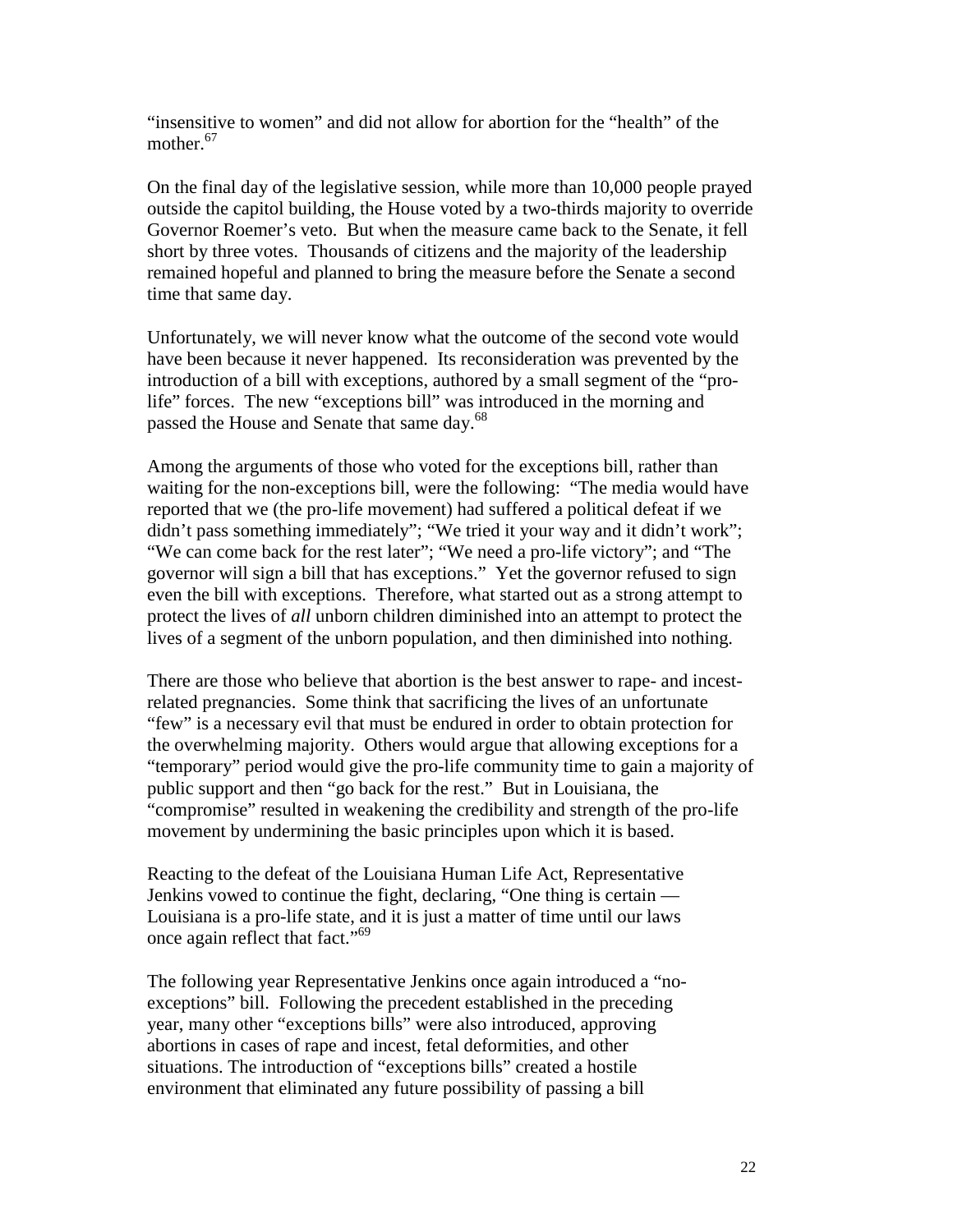"insensitive to women" and did not allow for abortion for the "health" of the mother.<sup>67</sup>

On the final day of the legislative session, while more than 10,000 people prayed outside the capitol building, the House voted by a two-thirds majority to override Governor Roemer's veto. But when the measure came back to the Senate, it fell short by three votes. Thousands of citizens and the majority of the leadership remained hopeful and planned to bring the measure before the Senate a second time that same day.

Unfortunately, we will never know what the outcome of the second vote would have been because it never happened. Its reconsideration was prevented by the introduction of a bill with exceptions, authored by a small segment of the "prolife" forces. The new "exceptions bill" was introduced in the morning and passed the House and Senate that same day.<sup>68</sup>

Among the arguments of those who voted for the exceptions bill, rather than waiting for the non-exceptions bill, were the following: "The media would have reported that we (the pro-life movement) had suffered a political defeat if we didn't pass something immediately"; "We tried it your way and it didn't work"; "We can come back for the rest later"; "We need a pro-life victory"; and "The governor will sign a bill that has exceptions." Yet the governor refused to sign even the bill with exceptions. Therefore, what started out as a strong attempt to protect the lives of *all* unborn children diminished into an attempt to protect the lives of a segment of the unborn population, and then diminished into nothing.

There are those who believe that abortion is the best answer to rape- and incestrelated pregnancies. Some think that sacrificing the lives of an unfortunate "few" is a necessary evil that must be endured in order to obtain protection for the overwhelming majority. Others would argue that allowing exceptions for a "temporary" period would give the pro-life community time to gain a majority of public support and then "go back for the rest." But in Louisiana, the "compromise" resulted in weakening the credibility and strength of the pro-life movement by undermining the basic principles upon which it is based.

Reacting to the defeat of the Louisiana Human Life Act, Representative Jenkins vowed to continue the fight, declaring, "One thing is certain — Louisiana is a pro-life state, and it is just a matter of time until our laws once again reflect that fact."<sup>69</sup>

The following year Representative Jenkins once again introduced a "noexceptions" bill. Following the precedent established in the preceding year, many other "exceptions bills" were also introduced, approving abortions in cases of rape and incest, fetal deformities, and other situations. The introduction of "exceptions bills" created a hostile environment that eliminated any future possibility of passing a bill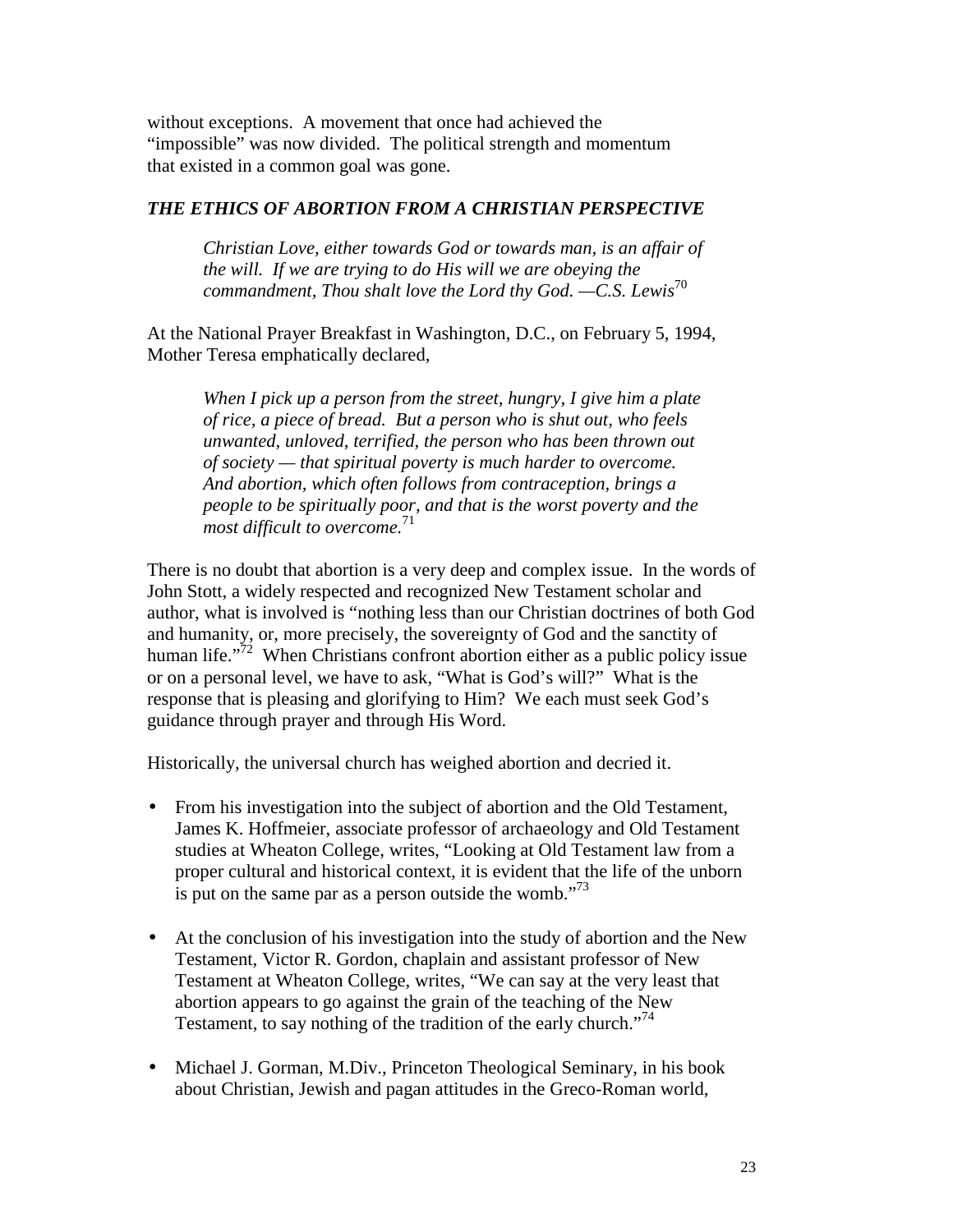without exceptions. A movement that once had achieved the "impossible" was now divided. The political strength and momentum that existed in a common goal was gone.

# *THE ETHICS OF ABORTION FROM A CHRISTIAN PERSPECTIVE*

*Christian Love, either towards God or towards man, is an affair of the will. If we are trying to do His will we are obeying the commandment, Thou shalt love the Lord thy God. —C.S. Lewis*<sup>70</sup>

At the National Prayer Breakfast in Washington, D.C., on February 5, 1994, Mother Teresa emphatically declared,

*When I pick up a person from the street, hungry, I give him a plate of rice, a piece of bread. But a person who is shut out, who feels unwanted, unloved, terrified, the person who has been thrown out of society — that spiritual poverty is much harder to overcome. And abortion, which often follows from contraception, brings a people to be spiritually poor, and that is the worst poverty and the most difficult to overcome.*<sup>71</sup>

There is no doubt that abortion is a very deep and complex issue. In the words of John Stott, a widely respected and recognized New Testament scholar and author, what is involved is "nothing less than our Christian doctrines of both God and humanity, or, more precisely, the sovereignty of God and the sanctity of human life."<sup>72</sup> When Christians confront abortion either as a public policy issue or on a personal level, we have to ask, "What is God's will?" What is the response that is pleasing and glorifying to Him? We each must seek God's guidance through prayer and through His Word.

Historically, the universal church has weighed abortion and decried it.

- From his investigation into the subject of abortion and the Old Testament, James K. Hoffmeier, associate professor of archaeology and Old Testament studies at Wheaton College, writes, "Looking at Old Testament law from a proper cultural and historical context, it is evident that the life of the unborn is put on the same par as a person outside the womb. $173$
- At the conclusion of his investigation into the study of abortion and the New Testament, Victor R. Gordon, chaplain and assistant professor of New Testament at Wheaton College, writes, "We can say at the very least that abortion appears to go against the grain of the teaching of the New Testament, to say nothing of the tradition of the early church."<sup>74</sup>
- Michael J. Gorman, M.Div., Princeton Theological Seminary, in his book about Christian, Jewish and pagan attitudes in the Greco-Roman world,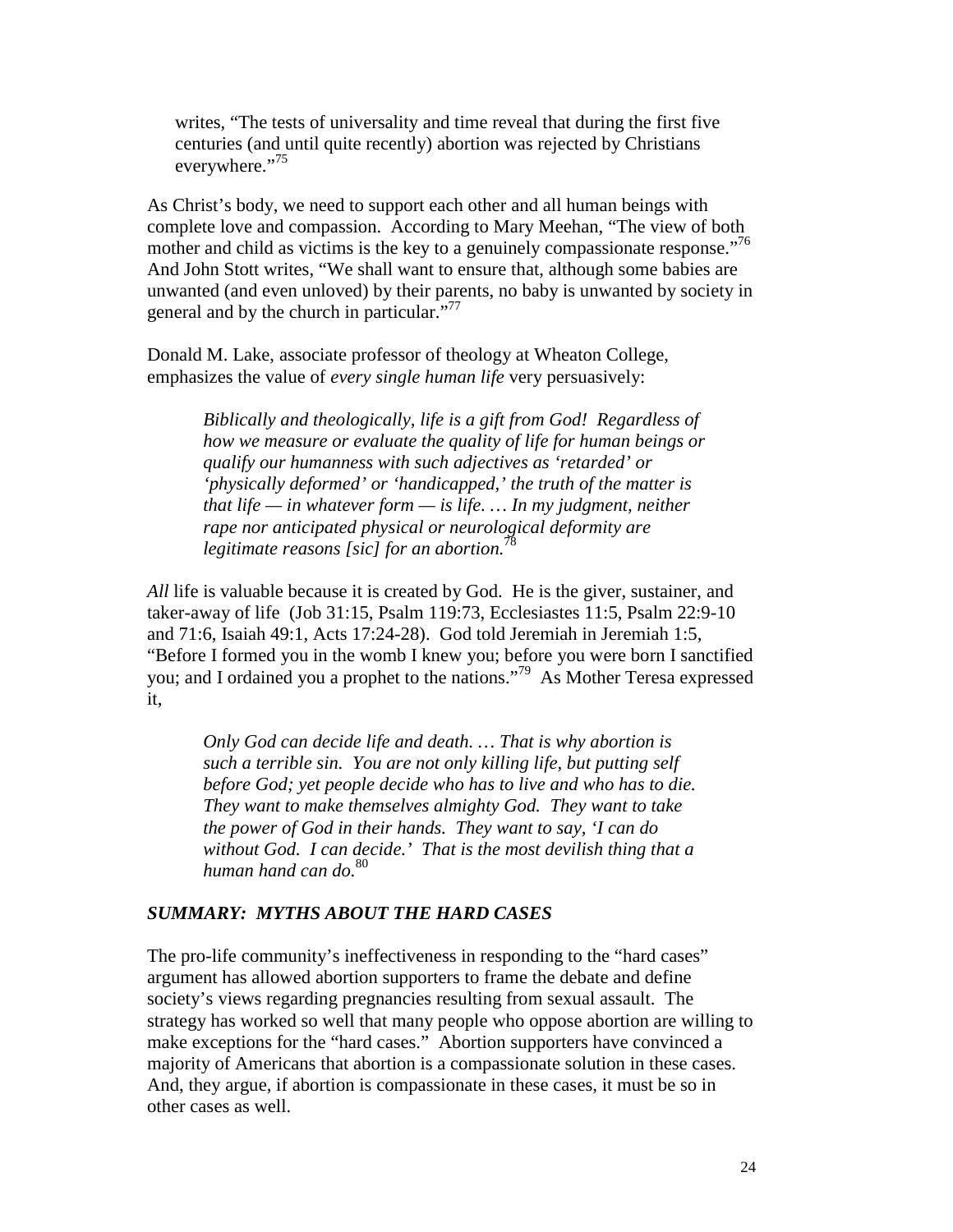writes, "The tests of universality and time reveal that during the first five centuries (and until quite recently) abortion was rejected by Christians everywhere."<sup>75</sup>

As Christ's body, we need to support each other and all human beings with complete love and compassion. According to Mary Meehan, "The view of both mother and child as victims is the key to a genuinely compassionate response."<sup>76</sup> And John Stott writes, "We shall want to ensure that, although some babies are unwanted (and even unloved) by their parents, no baby is unwanted by society in general and by the church in particular. $177$ 

Donald M. Lake, associate professor of theology at Wheaton College, emphasizes the value of *every single human life* very persuasively:

> *Biblically and theologically, life is a gift from God! Regardless of how we measure or evaluate the quality of life for human beings or qualify our humanness with such adjectives as 'retarded' or 'physically deformed' or 'handicapped,' the truth of the matter is that life — in whatever form — is life. … In my judgment, neither rape nor anticipated physical or neurological deformity are legitimate reasons [sic] for an abortion.*<sup>78</sup>

*All* life is valuable because it is created by God. He is the giver, sustainer, and taker-away of life (Job 31:15, Psalm 119:73, Ecclesiastes 11:5, Psalm 22:9-10 and 71:6, Isaiah 49:1, Acts 17:24-28). God told Jeremiah in Jeremiah 1:5, "Before I formed you in the womb I knew you; before you were born I sanctified you; and I ordained you a prophet to the nations."79 As Mother Teresa expressed it,

*Only God can decide life and death. … That is why abortion is such a terrible sin. You are not only killing life, but putting self before God; yet people decide who has to live and who has to die. They want to make themselves almighty God. They want to take the power of God in their hands. They want to say, 'I can do without God. I can decide.' That is the most devilish thing that a human hand can do.*<sup>80</sup>

#### *SUMMARY: MYTHS ABOUT THE HARD CASES*

The pro-life community's ineffectiveness in responding to the "hard cases" argument has allowed abortion supporters to frame the debate and define society's views regarding pregnancies resulting from sexual assault. The strategy has worked so well that many people who oppose abortion are willing to make exceptions for the "hard cases." Abortion supporters have convinced a majority of Americans that abortion is a compassionate solution in these cases. And, they argue, if abortion is compassionate in these cases, it must be so in other cases as well.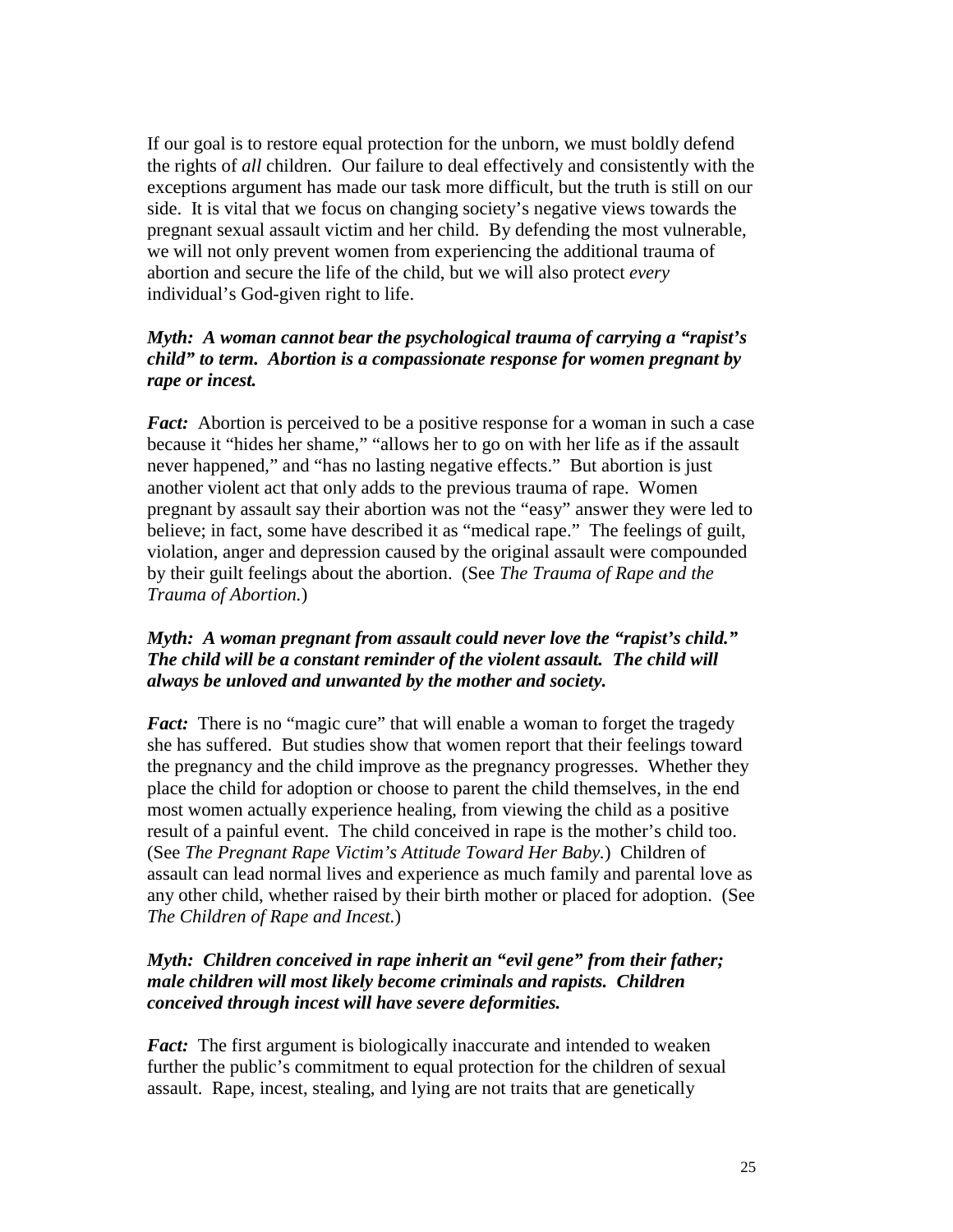If our goal is to restore equal protection for the unborn, we must boldly defend the rights of *all* children. Our failure to deal effectively and consistently with the exceptions argument has made our task more difficult, but the truth is still on our side. It is vital that we focus on changing society's negative views towards the pregnant sexual assault victim and her child. By defending the most vulnerable, we will not only prevent women from experiencing the additional trauma of abortion and secure the life of the child, but we will also protect *every* individual's God-given right to life.

# *Myth: A woman cannot bear the psychological trauma of carrying a "rapist's child" to term. Abortion is a compassionate response for women pregnant by rape or incest.*

*Fact:* Abortion is perceived to be a positive response for a woman in such a case because it "hides her shame," "allows her to go on with her life as if the assault never happened," and "has no lasting negative effects." But abortion is just another violent act that only adds to the previous trauma of rape. Women pregnant by assault say their abortion was not the "easy" answer they were led to believe; in fact, some have described it as "medical rape." The feelings of guilt, violation, anger and depression caused by the original assault were compounded by their guilt feelings about the abortion. (See *The Trauma of Rape and the Trauma of Abortion.*)

# *Myth: A woman pregnant from assault could never love the "rapist's child." The child will be a constant reminder of the violent assault. The child will always be unloved and unwanted by the mother and society.*

*Fact:* There is no "magic cure" that will enable a woman to forget the tragedy she has suffered. But studies show that women report that their feelings toward the pregnancy and the child improve as the pregnancy progresses. Whether they place the child for adoption or choose to parent the child themselves, in the end most women actually experience healing, from viewing the child as a positive result of a painful event. The child conceived in rape is the mother's child too. (See *The Pregnant Rape Victim's Attitude Toward Her Baby.*) Children of assault can lead normal lives and experience as much family and parental love as any other child, whether raised by their birth mother or placed for adoption. (See *The Children of Rape and Incest.*)

# *Myth: Children conceived in rape inherit an "evil gene" from their father; male children will most likely become criminals and rapists. Children conceived through incest will have severe deformities.*

*Fact:* The first argument is biologically inaccurate and intended to weaken further the public's commitment to equal protection for the children of sexual assault. Rape, incest, stealing, and lying are not traits that are genetically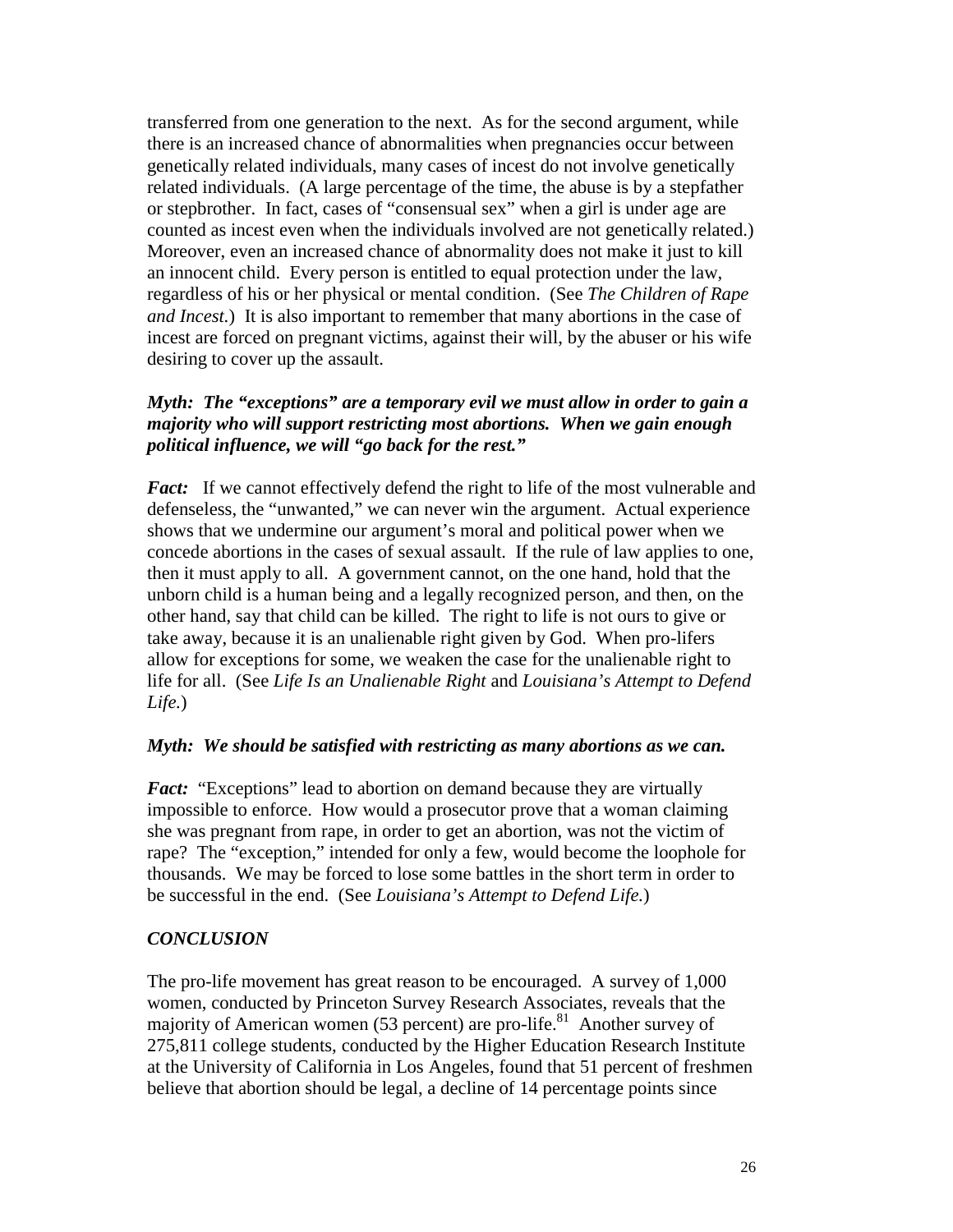transferred from one generation to the next. As for the second argument, while there is an increased chance of abnormalities when pregnancies occur between genetically related individuals, many cases of incest do not involve genetically related individuals. (A large percentage of the time, the abuse is by a stepfather or stepbrother. In fact, cases of "consensual sex" when a girl is under age are counted as incest even when the individuals involved are not genetically related.) Moreover, even an increased chance of abnormality does not make it just to kill an innocent child. Every person is entitled to equal protection under the law, regardless of his or her physical or mental condition. (See *The Children of Rape and Incest.*) It is also important to remember that many abortions in the case of incest are forced on pregnant victims, against their will, by the abuser or his wife desiring to cover up the assault.

# *Myth: The "exceptions" are a temporary evil we must allow in order to gain a majority who will support restricting most abortions. When we gain enough political influence, we will "go back for the rest."*

*Fact:* If we cannot effectively defend the right to life of the most vulnerable and defenseless, the "unwanted," we can never win the argument. Actual experience shows that we undermine our argument's moral and political power when we concede abortions in the cases of sexual assault. If the rule of law applies to one, then it must apply to all. A government cannot, on the one hand, hold that the unborn child is a human being and a legally recognized person, and then, on the other hand, say that child can be killed. The right to life is not ours to give or take away, because it is an unalienable right given by God. When pro-lifers allow for exceptions for some, we weaken the case for the unalienable right to life for all. (See *Life Is an Unalienable Right* and *Louisiana's Attempt to Defend Life.*)

# *Myth: We should be satisfied with restricting as many abortions as we can.*

*Fact:* "Exceptions" lead to abortion on demand because they are virtually impossible to enforce. How would a prosecutor prove that a woman claiming she was pregnant from rape, in order to get an abortion, was not the victim of rape? The "exception," intended for only a few, would become the loophole for thousands. We may be forced to lose some battles in the short term in order to be successful in the end. (See *Louisiana's Attempt to Defend Life.*)

# *CONCLUSION*

The pro-life movement has great reason to be encouraged. A survey of 1,000 women, conducted by Princeton Survey Research Associates, reveals that the majority of American women (53 percent) are pro-life. $81$  Another survey of 275,811 college students, conducted by the Higher Education Research Institute at the University of California in Los Angeles, found that 51 percent of freshmen believe that abortion should be legal, a decline of 14 percentage points since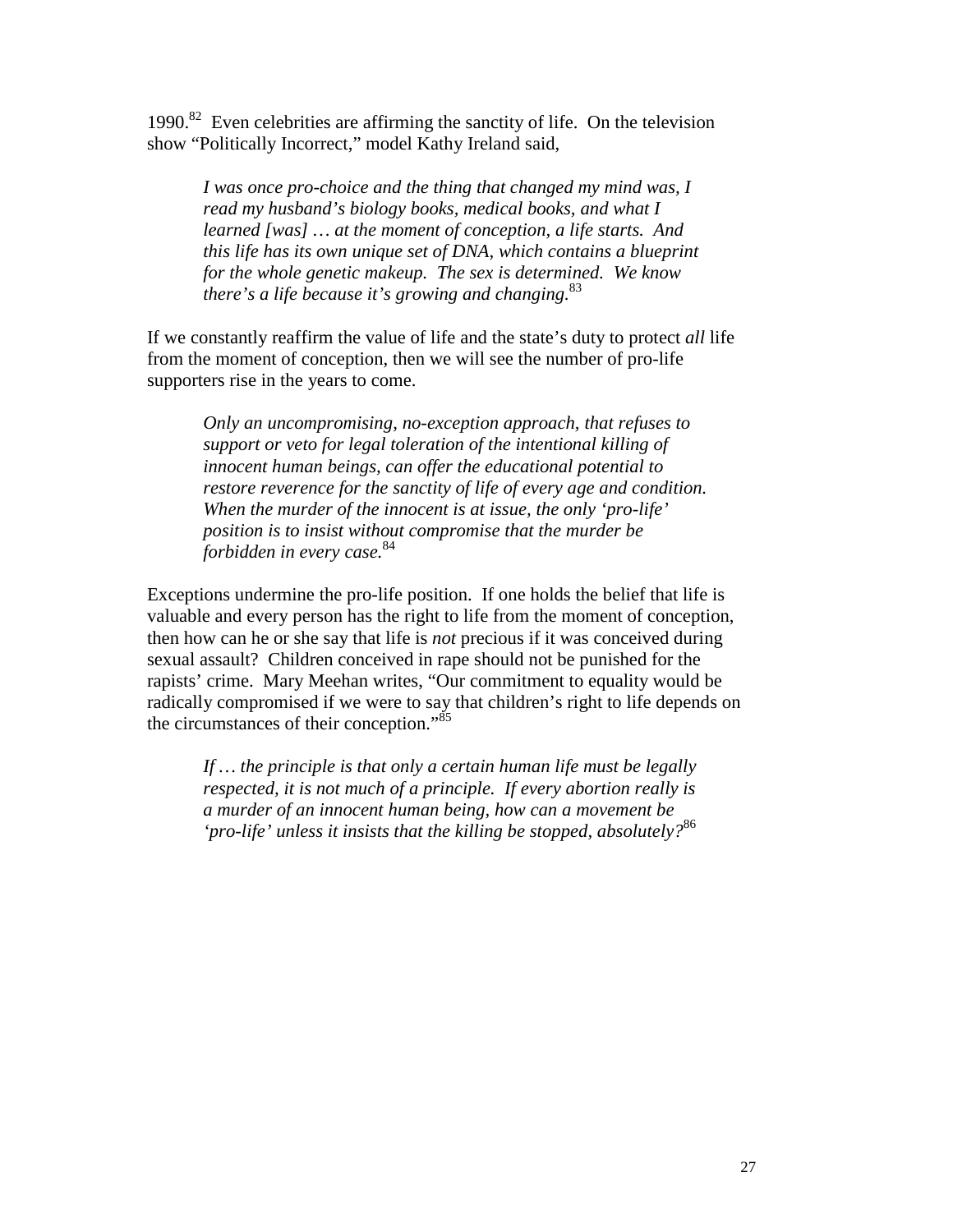1990. $82$  Even celebrities are affirming the sanctity of life. On the television show "Politically Incorrect," model Kathy Ireland said,

*I was once pro-choice and the thing that changed my mind was, I read my husband's biology books, medical books, and what I learned [was] … at the moment of conception, a life starts. And this life has its own unique set of DNA, which contains a blueprint for the whole genetic makeup. The sex is determined. We know there's a life because it's growing and changing.*<sup>83</sup>

If we constantly reaffirm the value of life and the state's duty to protect *all* life from the moment of conception, then we will see the number of pro-life supporters rise in the years to come.

*Only an uncompromising, no-exception approach, that refuses to support or veto for legal toleration of the intentional killing of innocent human beings, can offer the educational potential to restore reverence for the sanctity of life of every age and condition. When the murder of the innocent is at issue, the only 'pro-life' position is to insist without compromise that the murder be forbidden in every case.*<sup>84</sup>

Exceptions undermine the pro-life position. If one holds the belief that life is valuable and every person has the right to life from the moment of conception, then how can he or she say that life is *not* precious if it was conceived during sexual assault? Children conceived in rape should not be punished for the rapists' crime. Mary Meehan writes, "Our commitment to equality would be radically compromised if we were to say that children's right to life depends on the circumstances of their conception."<sup>85</sup>

*If … the principle is that only a certain human life must be legally respected, it is not much of a principle. If every abortion really is a murder of an innocent human being, how can a movement be 'pro-life' unless it insists that the killing be stopped, absolutely?*<sup>86</sup>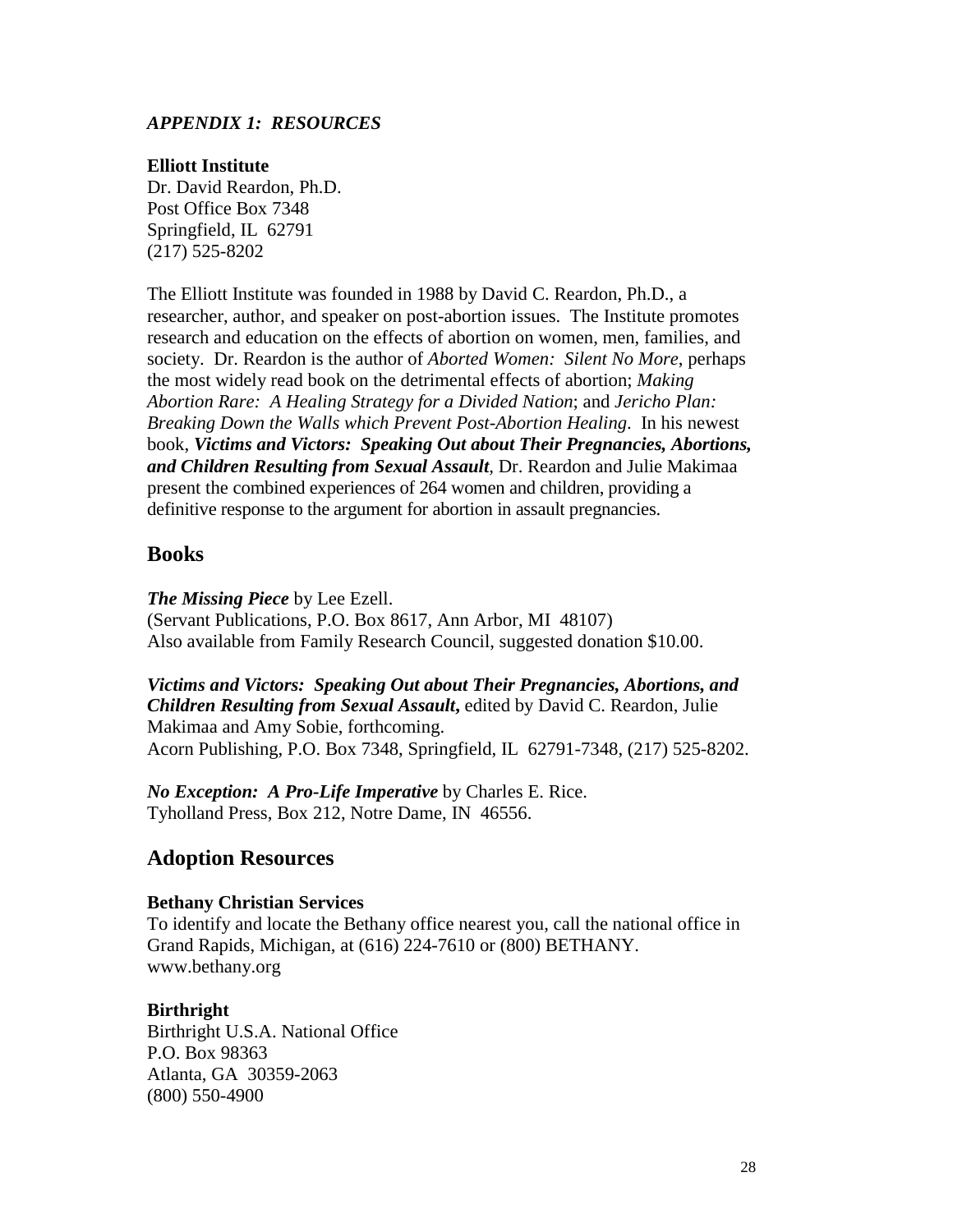### *APPENDIX 1: RESOURCES*

#### **Elliott Institute**

Dr. David Reardon, Ph.D. Post Office Box 7348 Springfield, IL 62791 (217) 525-8202

The Elliott Institute was founded in 1988 by David C. Reardon, Ph.D., a researcher, author, and speaker on post-abortion issues. The Institute promotes research and education on the effects of abortion on women, men, families, and society. Dr. Reardon is the author of *Aborted Women: Silent No More*, perhaps the most widely read book on the detrimental effects of abortion; *Making Abortion Rare: A Healing Strategy for a Divided Nation*; and *Jericho Plan: Breaking Down the Walls which Prevent Post-Abortion Healing*. In his newest book, *Victims and Victors: Speaking Out about Their Pregnancies, Abortions, and Children Resulting from Sexual Assault,* Dr. Reardon and Julie Makimaa present the combined experiences of 264 women and children, providing a definitive response to the argument for abortion in assault pregnancies.

### **Books**

*The Missing Piece* by Lee Ezell.

(Servant Publications, P.O. Box 8617, Ann Arbor, MI 48107) Also available from Family Research Council, suggested donation \$10.00.

*Victims and Victors: Speaking Out about Their Pregnancies, Abortions, and Children Resulting from Sexual Assault***,** edited by David C. Reardon, Julie Makimaa and Amy Sobie, forthcoming. Acorn Publishing, P.O. Box 7348, Springfield, IL 62791-7348, (217) 525-8202.

*No Exception: A Pro-Life Imperative* by Charles E. Rice. Tyholland Press, Box 212, Notre Dame, IN 46556.

# **Adoption Resources**

#### **Bethany Christian Services**

To identify and locate the Bethany office nearest you, call the national office in Grand Rapids, Michigan, at (616) 224-7610 or (800) BETHANY. www.bethany.org

#### **Birthright**

Birthright U.S.A. National Office P.O. Box 98363 Atlanta, GA 30359-2063 (800) 550-4900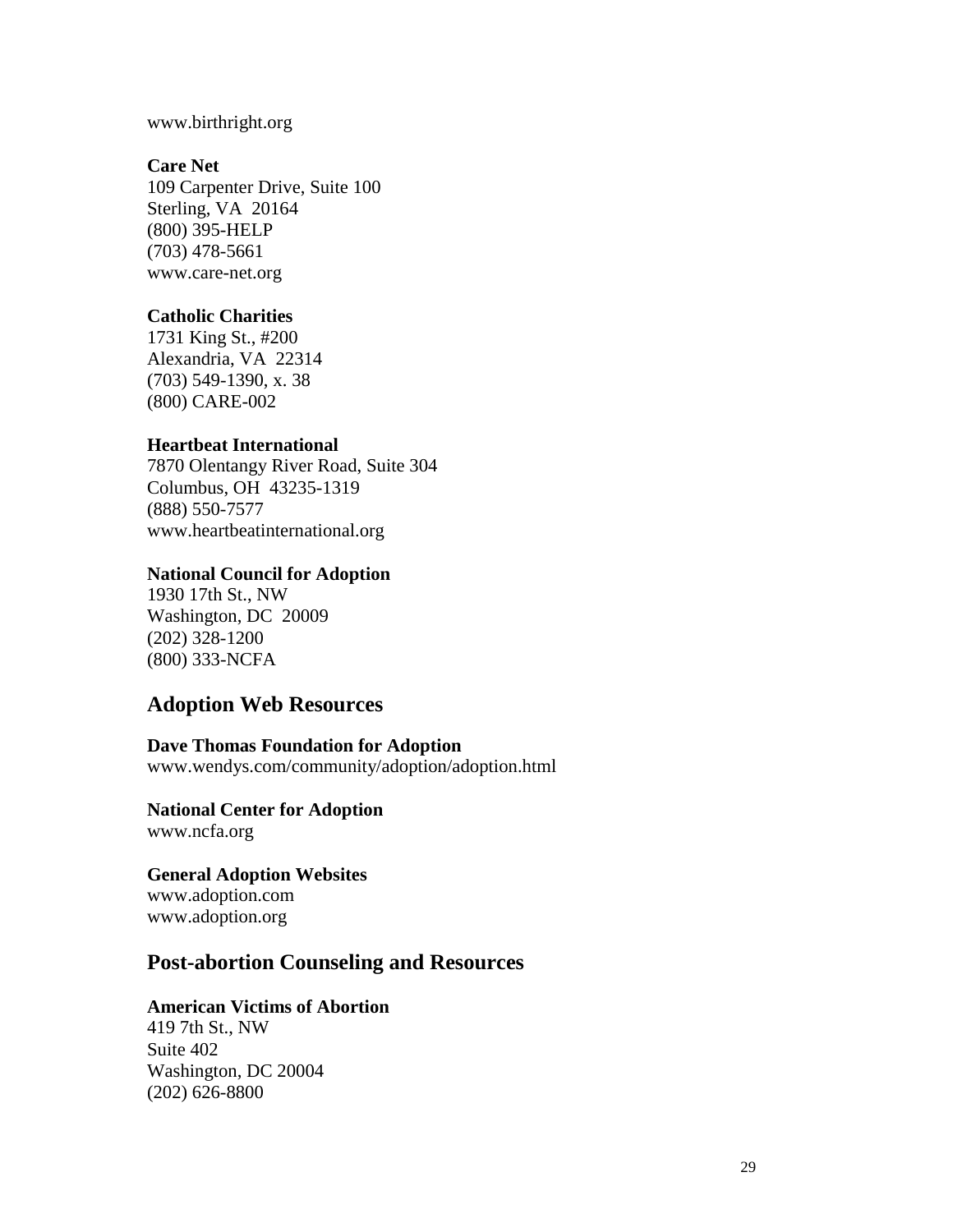www.birthright.org

#### **Care Net**

109 Carpenter Drive, Suite 100 Sterling, VA 20164 (800) 395-HELP (703) 478-5661 www.care-net.org

#### **Catholic Charities**

1731 King St., #200 Alexandria, VA 22314 (703) 549-1390, x. 38 (800) CARE-002

## **Heartbeat International**

7870 Olentangy River Road, Suite 304 Columbus, OH 43235-1319 (888) 550-7577 www.heartbeatinternational.org

### **National Council for Adoption**

1930 17th St., NW Washington, DC 20009 (202) 328-1200 (800) 333-NCFA

# **Adoption Web Resources**

**Dave Thomas Foundation for Adoption**  www.wendys.com/community/adoption/adoption.html

**National Center for Adoption**  www.ncfa.org

**General Adoption Websites**  www.adoption.com www.adoption.org

# **Post-abortion Counseling and Resources**

#### **American Victims of Abortion**

419 7th St., NW Suite 402 Washington, DC 20004 (202) 626-8800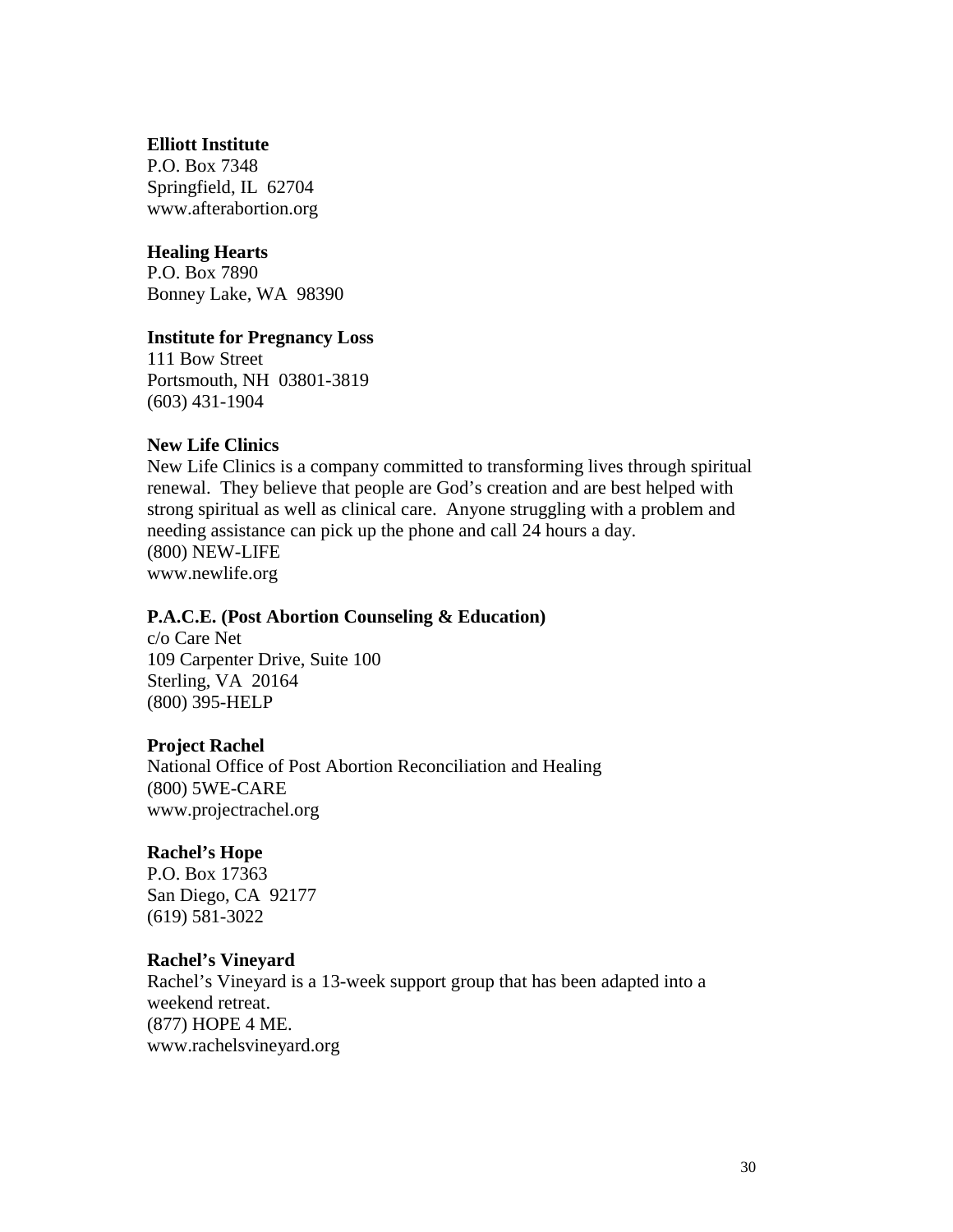#### **Elliott Institute**

P.O. Box 7348 Springfield, IL 62704 www.afterabortion.org

#### **Healing Hearts**

P.O. Box 7890 Bonney Lake, WA 98390

### **Institute for Pregnancy Loss**

111 Bow Street Portsmouth, NH 03801-3819 (603) 431-1904

## **New Life Clinics**

New Life Clinics is a company committed to transforming lives through spiritual renewal. They believe that people are God's creation and are best helped with strong spiritual as well as clinical care. Anyone struggling with a problem and needing assistance can pick up the phone and call 24 hours a day. (800) NEW-LIFE www.newlife.org

#### **P.A.C.E. (Post Abortion Counseling & Education)**

c/o Care Net 109 Carpenter Drive, Suite 100 Sterling, VA 20164 (800) 395-HELP

#### **Project Rachel**

National Office of Post Abortion Reconciliation and Healing (800) 5WE-CARE www.projectrachel.org

#### **Rachel's Hope**

P.O. Box 17363 San Diego, CA 92177 (619) 581-3022

#### **Rachel's Vineyard**

Rachel's Vineyard is a 13-week support group that has been adapted into a weekend retreat. (877) HOPE 4 ME. www.rachelsvineyard.org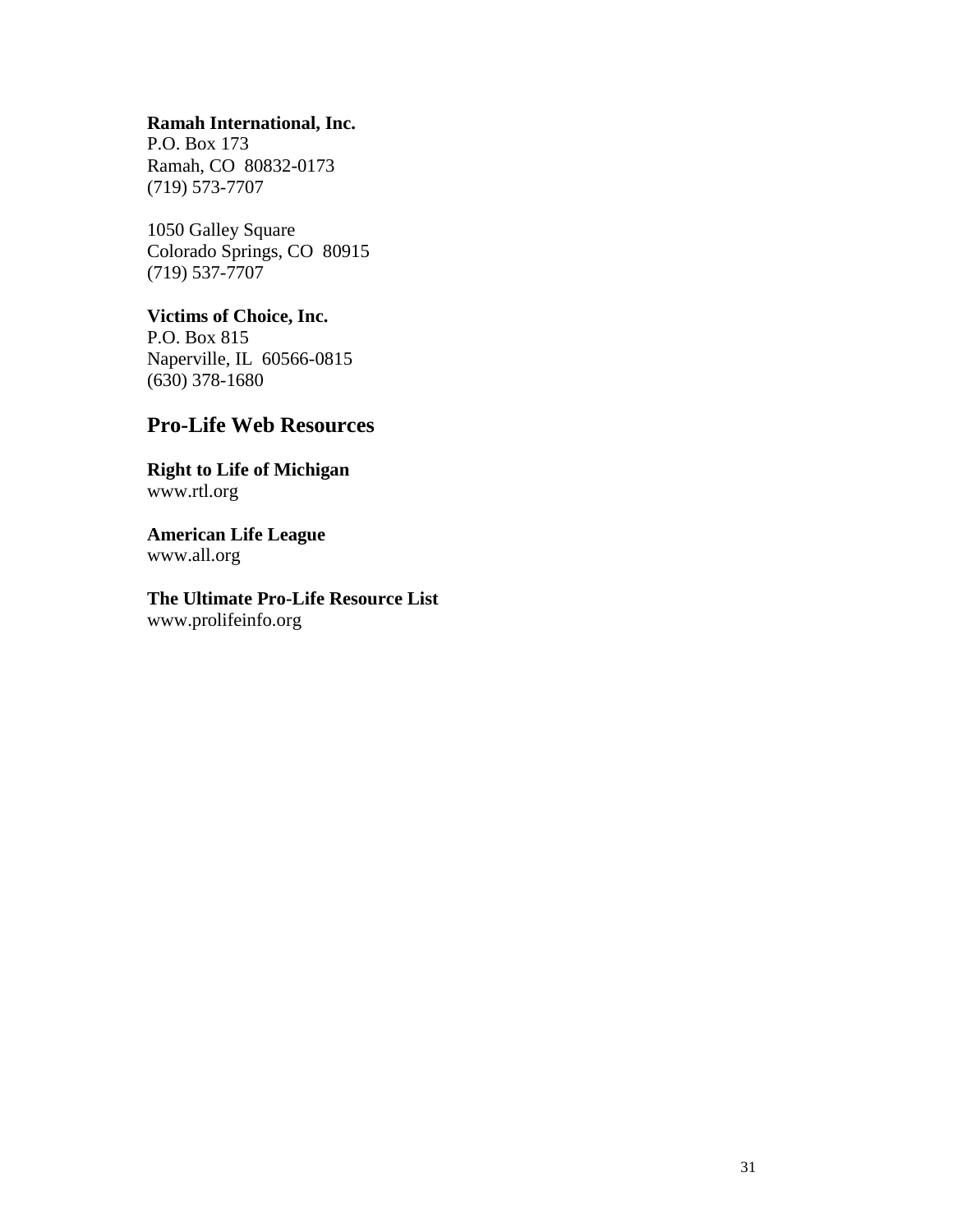# **Ramah International, Inc.**

P.O. Box 173 Ramah, CO 80832-0173 (719) 573-7707

1050 Galley Square Colorado Springs, CO 80915 (719) 537-7707

**Victims of Choice, Inc.**  P.O. Box 815 Naperville, IL 60566-0815 (630) 378-1680

# **Pro-Life Web Resources**

**Right to Life of Michigan**  www.rtl.org

**American Life League**  www.all.org

**The Ultimate Pro-Life Resource List**  www.prolifeinfo.org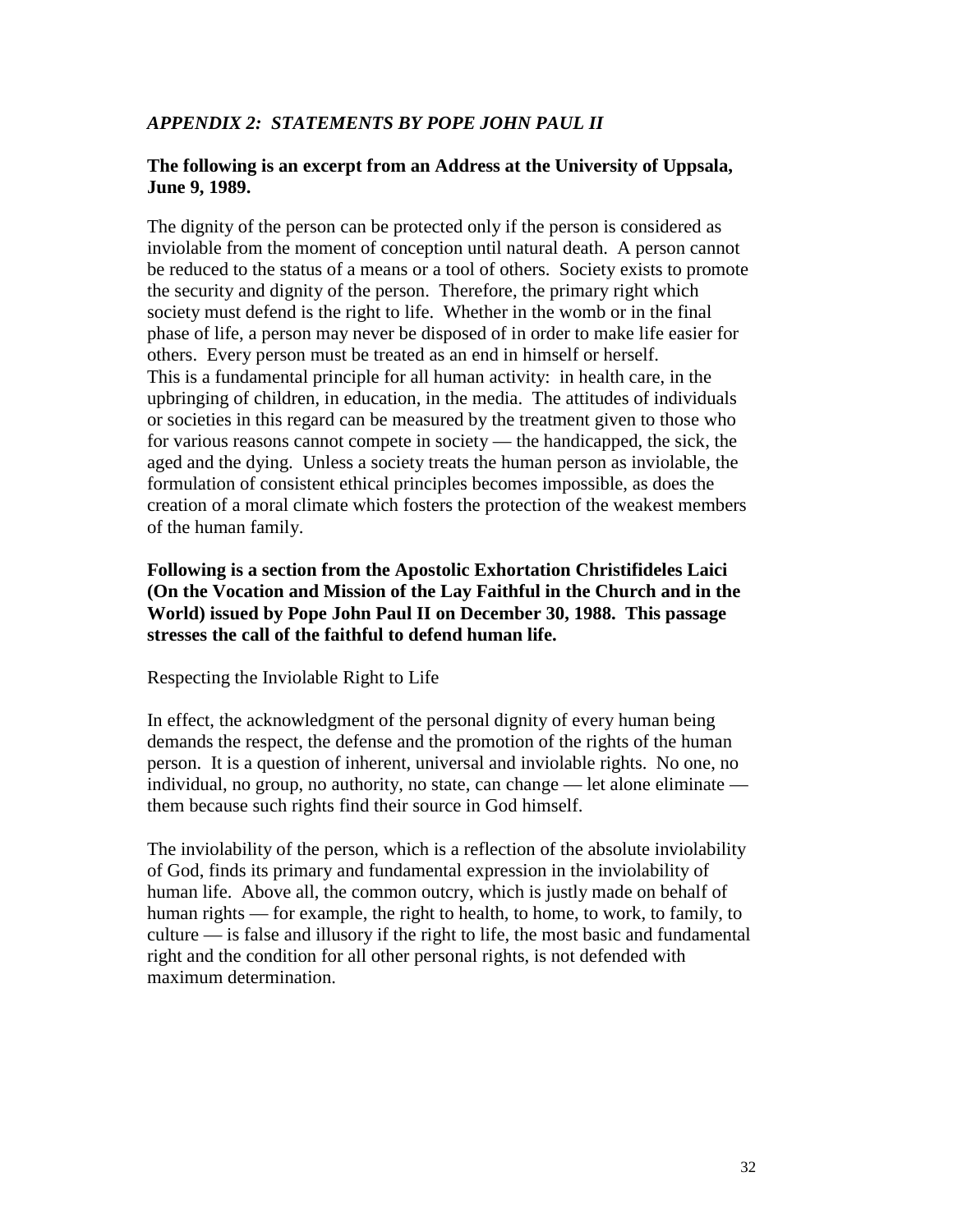# *APPENDIX 2: STATEMENTS BY POPE JOHN PAUL II*

### **The following is an excerpt from an Address at the University of Uppsala, June 9, 1989.**

The dignity of the person can be protected only if the person is considered as inviolable from the moment of conception until natural death. A person cannot be reduced to the status of a means or a tool of others. Society exists to promote the security and dignity of the person. Therefore, the primary right which society must defend is the right to life. Whether in the womb or in the final phase of life, a person may never be disposed of in order to make life easier for others. Every person must be treated as an end in himself or herself. This is a fundamental principle for all human activity: in health care, in the upbringing of children, in education, in the media. The attitudes of individuals or societies in this regard can be measured by the treatment given to those who for various reasons cannot compete in society — the handicapped, the sick, the aged and the dying. Unless a society treats the human person as inviolable, the formulation of consistent ethical principles becomes impossible, as does the creation of a moral climate which fosters the protection of the weakest members of the human family.

**Following is a section from the Apostolic Exhortation Christifideles Laici (On the Vocation and Mission of the Lay Faithful in the Church and in the World) issued by Pope John Paul II on December 30, 1988. This passage stresses the call of the faithful to defend human life.** 

#### Respecting the Inviolable Right to Life

In effect, the acknowledgment of the personal dignity of every human being demands the respect, the defense and the promotion of the rights of the human person. It is a question of inherent, universal and inviolable rights. No one, no individual, no group, no authority, no state, can change — let alone eliminate them because such rights find their source in God himself.

The inviolability of the person, which is a reflection of the absolute inviolability of God, finds its primary and fundamental expression in the inviolability of human life. Above all, the common outcry, which is justly made on behalf of human rights — for example, the right to health, to home, to work, to family, to culture — is false and illusory if the right to life, the most basic and fundamental right and the condition for all other personal rights, is not defended with maximum determination.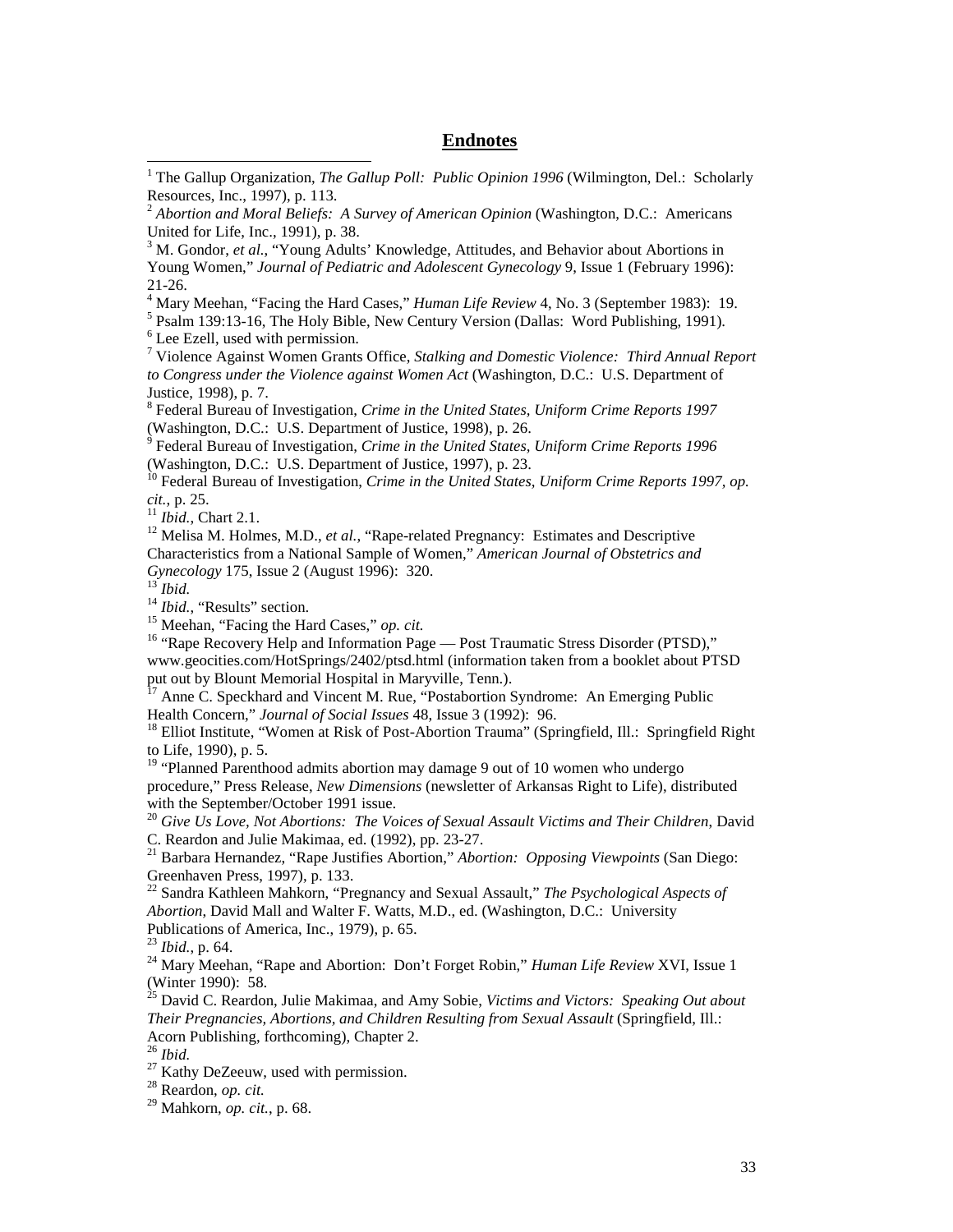#### **Endnotes**

<sup>3</sup> M. Gondor, *et al.*, "Young Adults' Knowledge, Attitudes, and Behavior about Abortions in Young Women," *Journal of Pediatric and Adolescent Gynecology* 9, Issue 1 (February 1996): 21-26.

<sup>4</sup> Mary Meehan, "Facing the Hard Cases," *Human Life Review* 4, No. 3 (September 1983): 19.<br><sup>5</sup> Dealm 130:13, 16 The Holy Pible, Now Century Version (Dallas: Word Publishing, 1991).

<sup>5</sup> Psalm 139:13-16, The Holy Bible, New Century Version (Dallas: Word Publishing, 1991). <sup>6</sup> Lee Ezell, used with permission.

7 Violence Against Women Grants Office, *Stalking and Domestic Violence: Third Annual Report to Congress under the Violence against Women Act* (Washington, D.C.: U.S. Department of Justice, 1998), p. 7.

8 Federal Bureau of Investigation, *Crime in the United States, Uniform Crime Reports 1997*  (Washington, D.C.: U.S. Department of Justice, 1998), p. 26.

9 Federal Bureau of Investigation, *Crime in the United States, Uniform Crime Reports 1996*  (Washington, D.C.: U.S. Department of Justice, 1997), p. 23.

<sup>10</sup> Federal Bureau of Investigation, *Crime in the United States, Uniform Crime Reports 1997, op. cit.*, p. 25. 11 *Ibid.*, Chart 2.1. 12 Melisa M. Holmes, M.D., *et al.*, "Rape-related Pregnancy: Estimates and Descriptive

Characteristics from a National Sample of Women," *American Journal of Obstetrics and*  Gynecology 175, Issue 2 (August 1996): 320.<br>
<sup>13</sup> *Ibid.*<br>
<sup>14</sup> *Ibid.*, "Results" section.<br>
<sup>15</sup> Meehan, "Facing the Hard Cases," *op. cit.*<br>
<sup>16</sup> "Rape Recovery Help and Information Page — Post Traumatic Stress Disorder

 $\overline{\phantom{a}}$ 

www.geocities.com/HotSprings/2402/ptsd.html (information taken from a booklet about PTSD put out by Blount Memorial Hospital in Maryville, Tenn.).

<sup>17</sup> Anne C. Speckhard and Vincent M. Rue, "Postabortion Syndrome: An Emerging Public Health Concern," *Journal of Social Issues* 48, Issue 3 (1992): 96.<br><sup>18</sup> Elliot Institute, "Women at Risk of Post-Abortion Trauma" (Springfield, Ill.: Springfield Right

to Life, 1990), p. 5.

<sup>19</sup> "Planned Parenthood admits abortion may damage 9 out of 10 women who undergo procedure," Press Release, *New Dimensions* (newsletter of Arkansas Right to Life), distributed with the September/October 1991 issue.

<sup>20</sup> *Give Us Love, Not Abortions: The Voices of Sexual Assault Victims and Their Children*, David C. Reardon and Julie Makimaa, ed. (1992), pp. 23-27.

21 Barbara Hernandez, "Rape Justifies Abortion," *Abortion: Opposing Viewpoints* (San Diego: Greenhaven Press, 1997), p. 133.

22 Sandra Kathleen Mahkorn, "Pregnancy and Sexual Assault," *The Psychological Aspects of Abortion*, David Mall and Walter F. Watts, M.D., ed. (Washington, D.C.: University

Publications of America, Inc., 1979), p. 65.<br><sup>23</sup> *Ibid.*, p. 64.

<sup>24</sup> Mary Meehan, "Rape and Abortion: Don't Forget Robin," *Human Life Review* XVI, Issue 1 (Winter 1990): 58.

25 David C. Reardon, Julie Makimaa, and Amy Sobie, *Victims and Victors: Speaking Out about Their Pregnancies, Abortions, and Children Resulting from Sexual Assault* (Springfield, Ill.: Acorn Publishing, forthcoming), Chapter 2.<br><sup>26</sup> Ibid.

<sup>27</sup> Kathy DeZeeuw, used with permission.

28 Reardon, *op. cit.*

29 Mahkorn, *op. cit.*, p. 68.

<sup>1</sup> The Gallup Organization, *The Gallup Poll: Public Opinion 1996* (Wilmington, Del.: Scholarly Resources, Inc., 1997), p. 113.

<sup>2</sup> *Abortion and Moral Beliefs: A Survey of American Opinion* (Washington, D.C.: Americans United for Life, Inc., 1991), p. 38.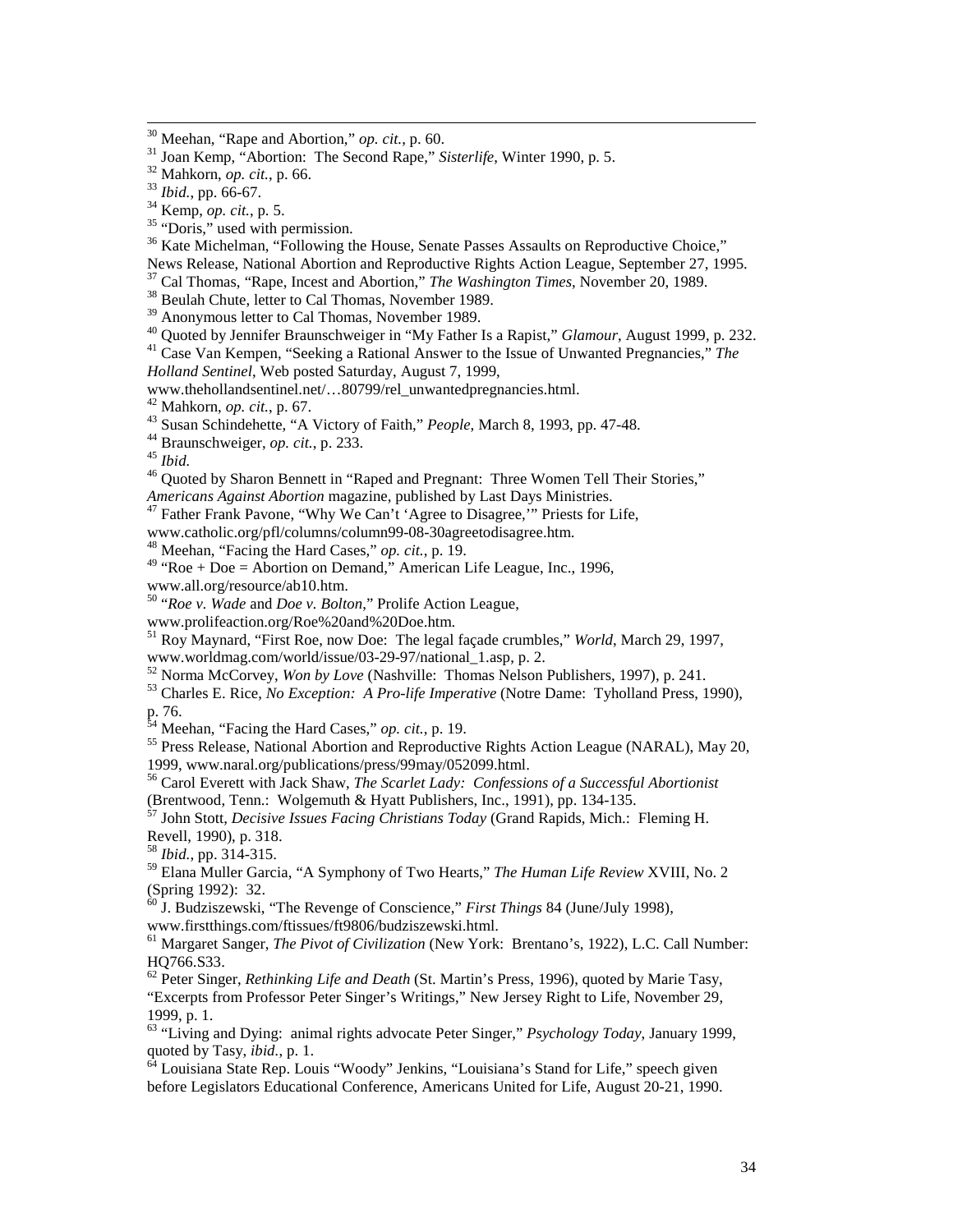<sup>36</sup> Kate Michelman, "Following the House, Senate Passes Assaults on Reproductive Choice,"

News Release, National Abortion and Reproductive Rights Action League, September 27, 1995.

<sup>37</sup> Cal Thomas, "Rape, Incest and Abortion," *The Washington Times*, November 20, 1989.<br><sup>38</sup> Beulah Chute, letter to Cal Thomas, November 1989.

<sup>39</sup> Anonymous letter to Cal Thomas, November 1989.<br><sup>40</sup> Quoted by Jennifer Braunschweiger in "My Father Is a Rapist," *Glamour*, August 1999, p. 232. <sup>41</sup> Case Van Kempen, "Seeking a Rational Answer to the Issue of Unwanted Pregnancies," *The* 

*Holland Sentinel*, Web posted Saturday, August 7, 1999,

www.thehollandsentinel.net/...80799/rel\_unwantedpregnancies.html.<br><sup>42</sup> Mahkorn, *op. cit.*, p. 67.

43 Susan Schindehette, "A Victory of Faith," *People*, March 8, 1993, pp. 47-48.<br>
<sup>44</sup> Braunschweiger, op. cit., p. 233.<br>
<sup>45</sup> Ibid.<br>
<sup>46</sup> Quoted by Sharon Bennett in "Raped and Pregnant: Three Women Tell Their Stories,"<br>

<sup>47</sup> Father Frank Pavone, "Why We Can't 'Agree to Disagree," Priests for Life,

www.catholic.org/pfl/columns/column99-08-30agreetodisagree.htm.

48 Meehan, "Facing the Hard Cases," *op. cit.*, p. 19.

 $49 \text{ "Roe + Doe = Abortion on Demand," American Life League, Inc., 1996,$ 

www.all.org/resource/ab10.htm.

50 "*Roe v. Wade* and *Doe v. Bolton*," Prolife Action League,

www.prolifeaction.org/Roe%20and%20Doe.htm.

51 Roy Maynard, "First Roe, now Doe: The legal façade crumbles," *World*, March 29, 1997, www.worldmag.com/world/issue/03-29-97/national\_1.asp, p. 2.

<sup>52</sup> Norma McCorvey, *Won by Love* (Nashville: Thomas Nelson Publishers, 1997), p. 241.<br><sup>53</sup> Charles E. Rice, *No Exception: A Pro-life Imperative* (Notre Dame: Tyholland Press, 1990),

p. 76.<br><sup>54</sup> Meehan, "Facing the Hard Cases," op. cit., p. 19.

<sup>55</sup> Press Release, National Abortion and Reproductive Rights Action League (NARAL), May 20, 1999, www.naral.org/publications/press/99may/052099.html.

56 Carol Everett with Jack Shaw, *The Scarlet Lady: Confessions of a Successful Abortionist* (Brentwood, Tenn.: Wolgemuth & Hyatt Publishers, Inc., 1991), pp. 134-135.

57 John Stott, *Decisive Issues Facing Christians Today* (Grand Rapids, Mich.: Fleming H. Revell, 1990), p. 318.

<sup>58</sup> *Ibid.*, pp. 314-315.

59 Elana Muller Garcia, "A Symphony of Two Hearts," *The Human Life Review* XVIII, No. 2 (Spring 1992): 32.

60 J. Budziszewski, "The Revenge of Conscience," *First Things* 84 (June/July 1998), www.firstthings.com/ftissues/ft9806/budziszewski.html.

61 Margaret Sanger, *The Pivot of Civilization* (New York: Brentano's, 1922), L.C. Call Number: HQ766.S33.

62 Peter Singer, *Rethinking Life and Death* (St. Martin's Press, 1996), quoted by Marie Tasy, "Excerpts from Professor Peter Singer's Writings," New Jersey Right to Life, November 29, 1999, p. 1.

<sup>63</sup> "Living and Dying: animal rights advocate Peter Singer," *Psychology Today*, January 1999, quoted by Tasy, *ibid.*, p. 1.

<sup>64</sup> Louisiana State Rep. Louis "Woody" Jenkins, "Louisiana's Stand for Life," speech given before Legislators Educational Conference, Americans United for Life, August 20-21, 1990.

<sup>&</sup>lt;sup>30</sup> Meehan, "Rape and Abortion," *op. cit.*, p. 60.<br><sup>31</sup> Joan Kemp, "Abortion: The Second Rape," *Sisterlife*, Winter 1990, p. 5.<br><sup>32</sup> Mahkorn, *op. cit.*, p. 66.<br><sup>33</sup> Ibid., pp. 66-67.<br><sup>34</sup> Kemp, *op. cit.*, p. 5.<br><sup>35</sup>